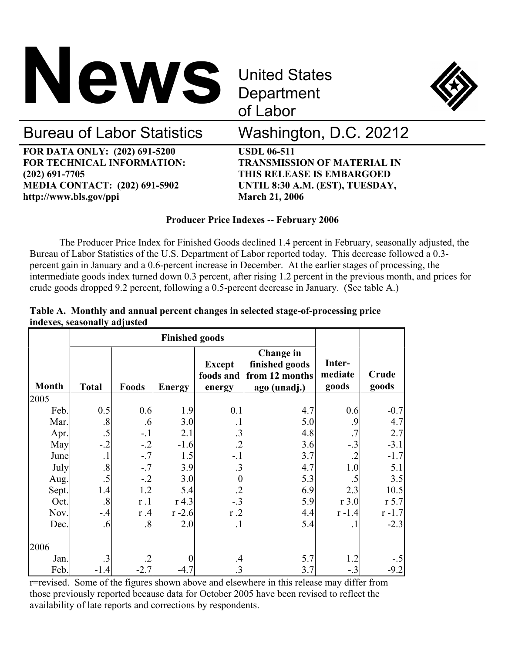

**Department** of Labor



# Bureau of Labor Statistics Washington, D.C. 20212

**FOR DATA ONLY: (202) 691-5200 USDL 06-511 FOR TECHNICAL INFORMATION: TRANSMISSION OF MATERIAL IN (202) 691-7705 THIS RELEASE IS EMBARGOED MEDIA CONTACT: (202) 691-5902 UNTIL 8:30 A.M. (EST), TUESDAY,**  http://www.bls.gov/ppi March 21, 2006

# **Producer Price Indexes -- February 2006**

 The Producer Price Index for Finished Goods declined 1.4 percent in February, seasonally adjusted, the Bureau of Labor Statistics of the U.S. Department of Labor reported today. This decrease followed a 0.3 percent gain in January and a 0.6-percent increase in December. At the earlier stages of processing, the intermediate goods index turned down 0.3 percent, after rising 1.2 percent in the previous month, and prices for crude goods dropped 9.2 percent, following a 0.5-percent decrease in January. (See table A.)

|  | Table A. Monthly and annual percent changes in selected stage-of-processing price |  |  |  |
|--|-----------------------------------------------------------------------------------|--|--|--|
|  | indexes, seasonally adjusted                                                      |  |  |  |

|              | <b>Finished goods</b> |           |               |                            |                                                      |                   |           |
|--------------|-----------------------|-----------|---------------|----------------------------|------------------------------------------------------|-------------------|-----------|
|              |                       |           |               | <b>Except</b><br>foods and | <b>Change</b> in<br>finished goods<br>from 12 months | Inter-<br>mediate | Crude     |
| <b>Month</b> | <b>Total</b>          | Foods     | <b>Energy</b> | energy                     | ago (unadj.)                                         | goods             | goods     |
| 2005         |                       |           |               |                            |                                                      |                   |           |
| Feb.         | 0.5                   | 0.6       | 1.9           | 0.1                        | 4.7                                                  | 0.6               | $-0.7$    |
| Mar.         | .8                    | .6        | 3.0           |                            | 5.0                                                  | $\cdot$ .9        | 4.7       |
| Apr.         | .5                    | $-1$      | 2.1           | $\cdot$ 3                  | 4.8                                                  | .7                | 2.7       |
| May          | $-.2$                 | $-.2$     | $-1.6$        | $\overline{.2}$            | 3.6                                                  | $-.3$             | $-3.1$    |
| June         | $\cdot$               | $-.7$     | 1.5           | $-.1$                      | 3.7                                                  |                   | $-1.7$    |
| July         | $\boldsymbol{.8}$     | $-.7$     | 3.9           | .3                         | 4.7                                                  | 1.0               | 5.1       |
| Aug.         | .5                    | $-.2$     | 3.0           | 0                          | 5.3                                                  | $.5\,$            | 3.5       |
| Sept.        | 1.4                   | 1.2       | 5.4           |                            | 6.9                                                  | 2.3               | 10.5      |
| Oct.         | .8                    | r.1       | $r$ 4.3       | $-.3$                      | 5.9                                                  | $r$ 3.0           | $r$ 5.7   |
| Nov.         | $-.4$                 | r.4       | $r - 2.6$     | r.2                        | 4.4                                                  | $r - 1.4$         | $r - 1.7$ |
| Dec.         | .6                    | $\cdot$ 8 | 2.0           | $\cdot$ 1                  | 5.4                                                  | $\cdot$           | $-2.3$    |
| 2006         |                       |           |               |                            |                                                      |                   |           |
| Jan.         | .3                    |           | 0             | .4                         | 5.7                                                  | 1.2               | $-.5$     |
| Feb.         | $-1.4$                | $-2.7$    | $-4.7$        | .3                         | 3.7                                                  | $-.3$             | $-9.2$    |

r=revised. Some of the figures shown above and elsewhere in this release may differ from those previously reported because data for October 2005 have been revised to reflect the availability of late reports and corrections by respondents.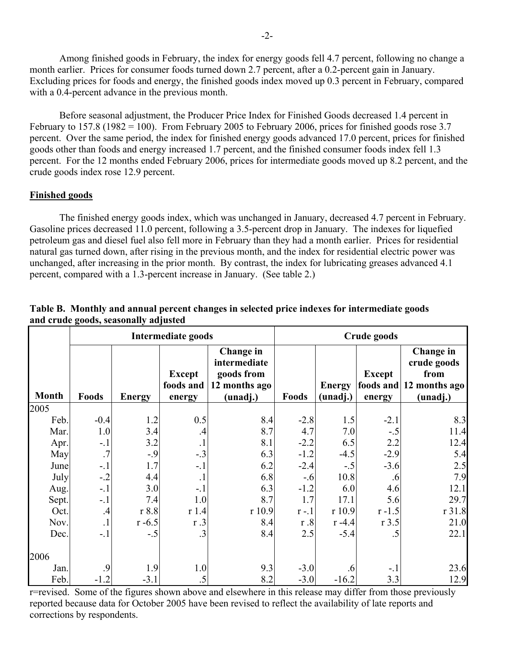Among finished goods in February, the index for energy goods fell 4.7 percent, following no change a month earlier. Prices for consumer foods turned down 2.7 percent, after a 0.2-percent gain in January. Excluding prices for foods and energy, the finished goods index moved up 0.3 percent in February, compared with a 0.4-percent advance in the previous month.

 Before seasonal adjustment, the Producer Price Index for Finished Goods decreased 1.4 percent in February to 157.8 (1982 = 100). From February 2005 to February 2006, prices for finished goods rose 3.7 percent. Over the same period, the index for finished energy goods advanced 17.0 percent, prices for finished goods other than foods and energy increased 1.7 percent, and the finished consumer foods index fell 1.3 percent. For the 12 months ended February 2006, prices for intermediate goods moved up 8.2 percent, and the crude goods index rose 12.9 percent.

# **Finished goods**

The finished energy goods index, which was unchanged in January, decreased 4.7 percent in February. Gasoline prices decreased 11.0 percent, following a 3.5-percent drop in January. The indexes for liquefied petroleum gas and diesel fuel also fell more in February than they had a month earlier. Prices for residential natural gas turned down, after rising in the previous month, and the index for residential electric power was unchanged, after increasing in the prior month. By contrast, the index for lubricating greases advanced 4.1 percent, compared with a 1.3-percent increase in January. (See table 2.)

|              |            |               | <b>Intermediate goods</b>            |                                                                      | Crude goods |                           |                         |                                                                         |  |
|--------------|------------|---------------|--------------------------------------|----------------------------------------------------------------------|-------------|---------------------------|-------------------------|-------------------------------------------------------------------------|--|
| <b>Month</b> | Foods      | <b>Energy</b> | <b>Except</b><br>foods and<br>energy | Change in<br>intermediate<br>goods from<br>12 months ago<br>(unadj.) | Foods       | <b>Energy</b><br>(unadj.) | <b>Except</b><br>energy | Change in<br>crude goods<br>from<br>foods and 12 months ago<br>(unadj.) |  |
| 2005         |            |               |                                      |                                                                      |             |                           |                         |                                                                         |  |
| Feb.         | $-0.4$     | 1.2           | 0.5                                  | 8.4                                                                  | $-2.8$      | 1.5                       | $-2.1$                  | 8.3                                                                     |  |
| Mar.         | 1.0        | 3.4           | $\cdot$                              | 8.7                                                                  | 4.7         | 7.0                       | $-.5$                   | 11.4                                                                    |  |
| Apr.         | $-.1$      | 3.2           | $\cdot$                              | 8.1                                                                  | $-2.2$      | 6.5                       | 2.2                     | 12.4                                                                    |  |
| May          | .7         | $-.9$         | $-.3$                                | 6.3                                                                  | $-1.2$      | $-4.5$                    | $-2.9$                  | 5.4                                                                     |  |
| June         | $-.1$      | 1.7           | $-.1$                                | 6.2                                                                  | $-2.4$      | $-.5$                     | $-3.6$                  | 2.5                                                                     |  |
| July         | $-.2$      | 4.4           | $\cdot$ 1                            | 6.8                                                                  | $-.6$       | 10.8                      | .6                      | 7.9                                                                     |  |
| Aug.         | $-1$       | 3.0           | $-.1$                                | 6.3                                                                  | $-1.2$      | 6.0                       | 4.6                     | 12.1                                                                    |  |
| Sept.        | $-.1$      | 7.4           | 1.0                                  | 8.7                                                                  | 1.7         | 17.1                      | 5.6                     | 29.7                                                                    |  |
| Oct.         | $\cdot$    | r 8.8         | r1.4                                 | r 10.9                                                               | $r - 1$     | r 10.9                    | $r - 1.5$               | r 31.8                                                                  |  |
| Nov.         | $\cdot$    | $r - 6.5$     | $r \cdot 3$                          | 8.4                                                                  | r.8         | $r - 4.4$                 | $r$ 3.5                 | 21.0                                                                    |  |
| Dec.         | $-.1$      | $-.5$         | .3                                   | 8.4                                                                  | 2.5         | $-5.4$                    | .5                      | 22.1                                                                    |  |
| 2006         |            |               |                                      |                                                                      |             |                           |                         |                                                                         |  |
| Jan.         | $\cdot$ .9 | 1.9           | 1.0                                  | 9.3                                                                  | $-3.0$      | 6.6                       | $-.1$                   | 23.6                                                                    |  |
| Feb.         | $-1.2$     | $-3.1$        | .5                                   | 8.2                                                                  | $-3.0$      | $-16.2$                   | 3.3                     | 12.9                                                                    |  |

# **Table B. Monthly and annual percent changes in selected price indexes for intermediate goods and crude goods, seasonally adjusted**

r=revised. Some of the figures shown above and elsewhere in this release may differ from those previously reported because data for October 2005 have been revised to reflect the availability of late reports and corrections by respondents.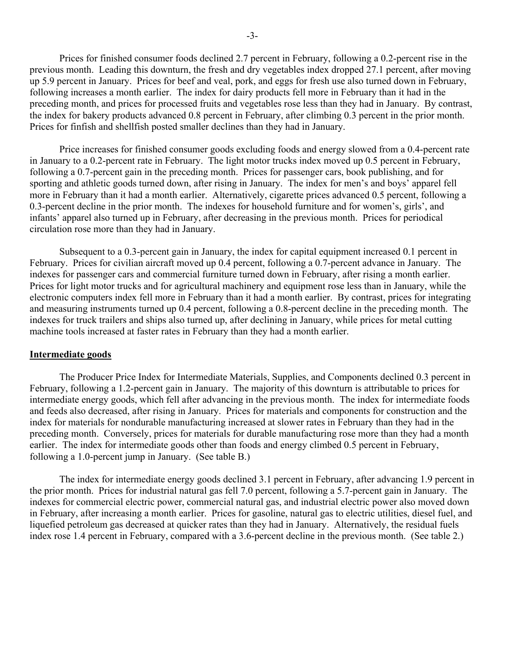Prices for finished consumer foods declined 2.7 percent in February, following a 0.2-percent rise in the previous month. Leading this downturn, the fresh and dry vegetables index dropped 27.1 percent, after moving up 5.9 percent in January. Prices for beef and veal, pork, and eggs for fresh use also turned down in February, following increases a month earlier. The index for dairy products fell more in February than it had in the preceding month, and prices for processed fruits and vegetables rose less than they had in January. By contrast, the index for bakery products advanced 0.8 percent in February, after climbing 0.3 percent in the prior month. Prices for finfish and shellfish posted smaller declines than they had in January.

Price increases for finished consumer goods excluding foods and energy slowed from a 0.4-percent rate in January to a 0.2-percent rate in February. The light motor trucks index moved up 0.5 percent in February, following a 0.7-percent gain in the preceding month. Prices for passenger cars, book publishing, and for sporting and athletic goods turned down, after rising in January. The index for men's and boys' apparel fell more in February than it had a month earlier. Alternatively, cigarette prices advanced 0.5 percent, following a 0.3-percent decline in the prior month. The indexes for household furniture and for women's, girls', and infants' apparel also turned up in February, after decreasing in the previous month. Prices for periodical circulation rose more than they had in January.

Subsequent to a 0.3-percent gain in January, the index for capital equipment increased 0.1 percent in February. Prices for civilian aircraft moved up 0.4 percent, following a 0.7-percent advance in January. The indexes for passenger cars and commercial furniture turned down in February, after rising a month earlier. Prices for light motor trucks and for agricultural machinery and equipment rose less than in January, while the electronic computers index fell more in February than it had a month earlier. By contrast, prices for integrating and measuring instruments turned up 0.4 percent, following a 0.8-percent decline in the preceding month. The indexes for truck trailers and ships also turned up, after declining in January, while prices for metal cutting machine tools increased at faster rates in February than they had a month earlier.

# **Intermediate goods**

 The Producer Price Index for Intermediate Materials, Supplies, and Components declined 0.3 percent in February, following a 1.2-percent gain in January. The majority of this downturn is attributable to prices for intermediate energy goods, which fell after advancing in the previous month. The index for intermediate foods and feeds also decreased, after rising in January. Prices for materials and components for construction and the index for materials for nondurable manufacturing increased at slower rates in February than they had in the preceding month. Conversely, prices for materials for durable manufacturing rose more than they had a month earlier. The index for intermediate goods other than foods and energy climbed 0.5 percent in February, following a 1.0-percent jump in January. (See table B.)

 The index for intermediate energy goods declined 3.1 percent in February, after advancing 1.9 percent in the prior month. Prices for industrial natural gas fell 7.0 percent, following a 5.7-percent gain in January. The indexes for commercial electric power, commercial natural gas, and industrial electric power also moved down in February, after increasing a month earlier. Prices for gasoline, natural gas to electric utilities, diesel fuel, and liquefied petroleum gas decreased at quicker rates than they had in January. Alternatively, the residual fuels index rose 1.4 percent in February, compared with a 3.6-percent decline in the previous month. (See table 2.)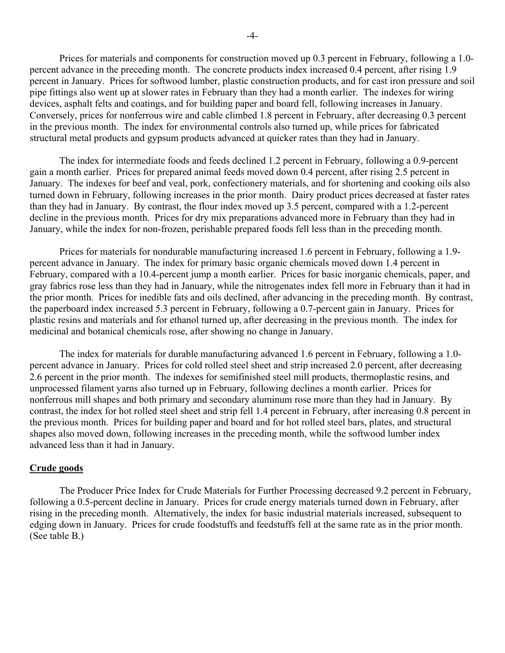Prices for materials and components for construction moved up 0.3 percent in February, following a 1.0 percent advance in the preceding month. The concrete products index increased 0.4 percent, after rising 1.9 percent in January. Prices for softwood lumber, plastic construction products, and for cast iron pressure and soil pipe fittings also went up at slower rates in February than they had a month earlier. The indexes for wiring devices, asphalt felts and coatings, and for building paper and board fell, following increases in January. Conversely, prices for nonferrous wire and cable climbed 1.8 percent in February, after decreasing 0.3 percent in the previous month. The index for environmental controls also turned up, while prices for fabricated structural metal products and gypsum products advanced at quicker rates than they had in January.

 The index for intermediate foods and feeds declined 1.2 percent in February, following a 0.9-percent gain a month earlier. Prices for prepared animal feeds moved down 0.4 percent, after rising 2.5 percent in January. The indexes for beef and veal, pork, confectionery materials, and for shortening and cooking oils also turned down in February, following increases in the prior month. Dairy product prices decreased at faster rates than they had in January. By contrast, the flour index moved up 3.5 percent, compared with a 1.2-percent decline in the previous month. Prices for dry mix preparations advanced more in February than they had in January, while the index for non-frozen, perishable prepared foods fell less than in the preceding month.

 Prices for materials for nondurable manufacturing increased 1.6 percent in February, following a 1.9 percent advance in January. The index for primary basic organic chemicals moved down 1.4 percent in February, compared with a 10.4-percent jump a month earlier. Prices for basic inorganic chemicals, paper, and gray fabrics rose less than they had in January, while the nitrogenates index fell more in February than it had in the prior month. Prices for inedible fats and oils declined, after advancing in the preceding month. By contrast, the paperboard index increased 5.3 percent in February, following a 0.7-percent gain in January. Prices for plastic resins and materials and for ethanol turned up, after decreasing in the previous month. The index for medicinal and botanical chemicals rose, after showing no change in January.

 The index for materials for durable manufacturing advanced 1.6 percent in February, following a 1.0 percent advance in January. Prices for cold rolled steel sheet and strip increased 2.0 percent, after decreasing 2.6 percent in the prior month. The indexes for semifinished steel mill products, thermoplastic resins, and unprocessed filament yarns also turned up in February, following declines a month earlier. Prices for nonferrous mill shapes and both primary and secondary aluminum rose more than they had in January. By contrast, the index for hot rolled steel sheet and strip fell 1.4 percent in February, after increasing 0.8 percent in the previous month. Prices for building paper and board and for hot rolled steel bars, plates, and structural shapes also moved down, following increases in the preceding month, while the softwood lumber index advanced less than it had in January.

## **Crude goods**

The Producer Price Index for Crude Materials for Further Processing decreased 9.2 percent in February, following a 0.5-percent decline in January. Prices for crude energy materials turned down in February, after rising in the preceding month. Alternatively, the index for basic industrial materials increased, subsequent to edging down in January. Prices for crude foodstuffs and feedstuffs fell at the same rate as in the prior month. (See table B.)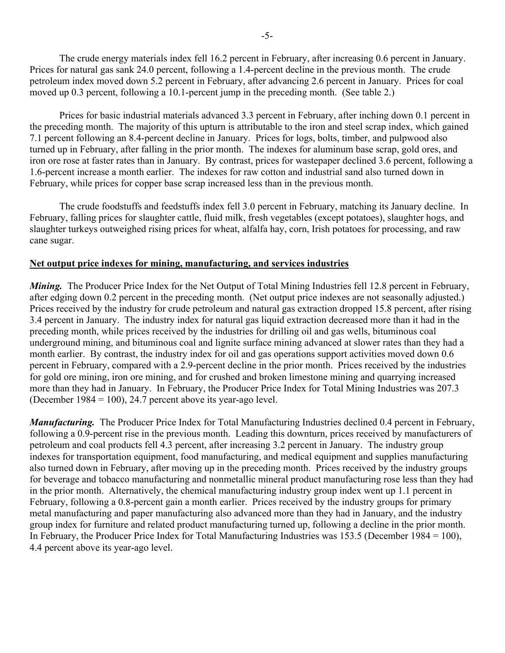The crude energy materials index fell 16.2 percent in February, after increasing 0.6 percent in January. Prices for natural gas sank 24.0 percent, following a 1.4-percent decline in the previous month. The crude petroleum index moved down 5.2 percent in February, after advancing 2.6 percent in January. Prices for coal moved up 0.3 percent, following a 10.1-percent jump in the preceding month. (See table 2.)

Prices for basic industrial materials advanced 3.3 percent in February, after inching down 0.1 percent in the preceding month. The majority of this upturn is attributable to the iron and steel scrap index, which gained 7.1 percent following an 8.4-percent decline in January. Prices for logs, bolts, timber, and pulpwood also turned up in February, after falling in the prior month. The indexes for aluminum base scrap, gold ores, and iron ore rose at faster rates than in January. By contrast, prices for wastepaper declined 3.6 percent, following a 1.6-percent increase a month earlier. The indexes for raw cotton and industrial sand also turned down in February, while prices for copper base scrap increased less than in the previous month.

The crude foodstuffs and feedstuffs index fell 3.0 percent in February, matching its January decline. In February, falling prices for slaughter cattle, fluid milk, fresh vegetables (except potatoes), slaughter hogs, and slaughter turkeys outweighed rising prices for wheat, alfalfa hay, corn, Irish potatoes for processing, and raw cane sugar.

# **Net output price indexes for mining, manufacturing, and services industries**

*Mining.* The Producer Price Index for the Net Output of Total Mining Industries fell 12.8 percent in February, after edging down 0.2 percent in the preceding month. (Net output price indexes are not seasonally adjusted.) Prices received by the industry for crude petroleum and natural gas extraction dropped 15.8 percent, after rising 3.4 percent in January. The industry index for natural gas liquid extraction decreased more than it had in the preceding month, while prices received by the industries for drilling oil and gas wells, bituminous coal underground mining, and bituminous coal and lignite surface mining advanced at slower rates than they had a month earlier. By contrast, the industry index for oil and gas operations support activities moved down 0.6 percent in February, compared with a 2.9-percent decline in the prior month. Prices received by the industries for gold ore mining, iron ore mining, and for crushed and broken limestone mining and quarrying increased more than they had in January. In February, the Producer Price Index for Total Mining Industries was 207.3 (December 1984 = 100), 24.7 percent above its year-ago level.

*Manufacturing.* The Producer Price Index for Total Manufacturing Industries declined 0.4 percent in February, following a 0.9-percent rise in the previous month. Leading this downturn, prices received by manufacturers of petroleum and coal products fell 4.3 percent, after increasing 3.2 percent in January. The industry group indexes for transportation equipment, food manufacturing, and medical equipment and supplies manufacturing also turned down in February, after moving up in the preceding month. Prices received by the industry groups for beverage and tobacco manufacturing and nonmetallic mineral product manufacturing rose less than they had in the prior month. Alternatively, the chemical manufacturing industry group index went up 1.1 percent in February, following a 0.8-percent gain a month earlier. Prices received by the industry groups for primary metal manufacturing and paper manufacturing also advanced more than they had in January, and the industry group index for furniture and related product manufacturing turned up, following a decline in the prior month. In February, the Producer Price Index for Total Manufacturing Industries was 153.5 (December 1984 = 100), 4.4 percent above its year-ago level.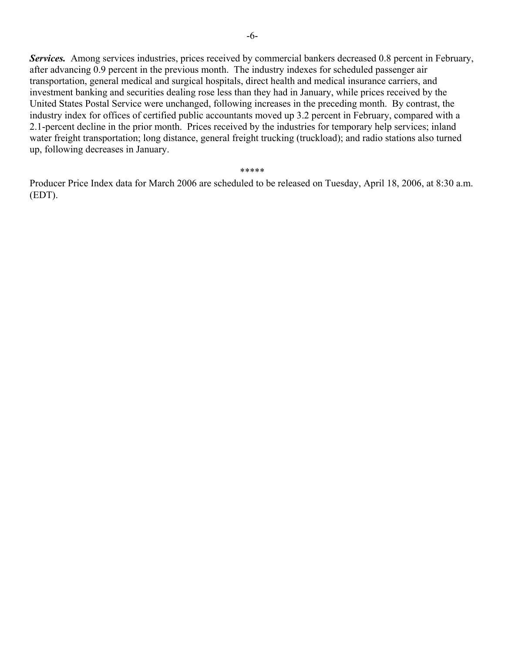*Services.* Among services industries, prices received by commercial bankers decreased 0.8 percent in February, after advancing 0.9 percent in the previous month. The industry indexes for scheduled passenger air transportation, general medical and surgical hospitals, direct health and medical insurance carriers, and investment banking and securities dealing rose less than they had in January, while prices received by the United States Postal Service were unchanged, following increases in the preceding month. By contrast, the industry index for offices of certified public accountants moved up 3.2 percent in February, compared with a 2.1-percent decline in the prior month. Prices received by the industries for temporary help services; inland water freight transportation; long distance, general freight trucking (truckload); and radio stations also turned up, following decreases in January.

\*\*\*\*\*

Producer Price Index data for March 2006 are scheduled to be released on Tuesday, April 18, 2006, at 8:30 a.m. (EDT).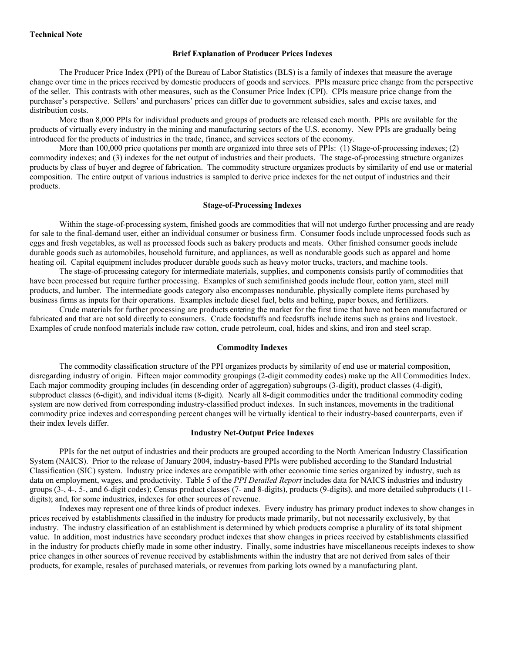#### **Technical Note**

#### **Brief Explanation of Producer Prices Indexes**

The Producer Price Index (PPI) of the Bureau of Labor Statistics (BLS) is a family of indexes that measure the average change over time in the prices received by domestic producers of goods and services. PPIs measure price change from the perspective of the seller. This contrasts with other measures, such as the Consumer Price Index (CPI). CPIs measure price change from the purchaser's perspective. Sellers' and purchasers' prices can differ due to government subsidies, sales and excise taxes, and distribution costs.

 More than 8,000 PPIs for individual products and groups of products are released each month. PPIs are available for the products of virtually every industry in the mining and manufacturing sectors of the U.S. economy. New PPIs are gradually being introduced for the products of industries in the trade, finance, and services sectors of the economy.

More than 100,000 price quotations per month are organized into three sets of PPIs: (1) Stage-of-processing indexes; (2) commodity indexes; and (3) indexes for the net output of industries and their products. The stage-of-processing structure organizes products by class of buyer and degree of fabrication. The commodity structure organizes products by similarity of end use or material composition. The entire output of various industries is sampled to derive price indexes for the net output of industries and their products.

#### **Stage-of-Processing Indexes**

Within the stage-of-processing system, finished goods are commodities that will not undergo further processing and are ready for sale to the final-demand user, either an individual consumer or business firm. Consumer foods include unprocessed foods such as eggs and fresh vegetables, as well as processed foods such as bakery products and meats. Other finished consumer goods include durable goods such as automobiles, household furniture, and appliances, as well as nondurable goods such as apparel and home heating oil. Capital equipment includes producer durable goods such as heavy motor trucks, tractors, and machine tools.

 The stage-of-processing category for intermediate materials, supplies, and components consists partly of commodities that have been processed but require further processing. Examples of such semifinished goods include flour, cotton yarn, steel mill products, and lumber. The intermediate goods category also encompasses nondurable, physically complete items purchased by business firms as inputs for their operations. Examples include diesel fuel, belts and belting, paper boxes, and fertilizers.

Crude materials for further processing are products entering the market for the first time that have not been manufactured or fabricated and that are not sold directly to consumers. Crude foodstuffs and feedstuffs include items such as grains and livestock. Examples of crude nonfood materials include raw cotton, crude petroleum, coal, hides and skins, and iron and steel scrap.

### **Commodity Indexes**

The commodity classification structure of the PPI organizes products by similarity of end use or material composition, disregarding industry of origin. Fifteen major commodity groupings (2-digit commodity codes) make up the All Commodities Index. Each major commodity grouping includes (in descending order of aggregation) subgroups (3-digit), product classes (4-digit), subproduct classes (6-digit), and individual items (8-digit). Nearly all 8-digit commodities under the traditional commodity coding system are now derived from corresponding industry-classified product indexes. In such instances, movements in the traditional commodity price indexes and corresponding percent changes will be virtually identical to their industry-based counterparts, even if their index levels differ.

#### **Industry Net-Output Price Indexes**

PPIs for the net output of industries and their products are grouped according to the North American Industry Classification System (NAICS). Prior to the release of January 2004, industry-based PPIs were published according to the Standard Industrial Classification (SIC) system. Industry price indexes are compatible with other economic time series organized by industry, such as data on employment, wages, and productivity. Table 5 of the *PPI Detailed Report* includes data for NAICS industries and industry groups (3-, 4-, 5-, and 6-digit codes); Census product classes (7- and 8-digits), products (9-digits), and more detailed subproducts (11 digits); and, for some industries, indexes for other sources of revenue.

 Indexes may represent one of three kinds of product indexes. Every industry has primary product indexes to show changes in prices received by establishments classified in the industry for products made primarily, but not necessarily exclusively, by that industry. The industry classification of an establishment is determined by which products comprise a plurality of its total shipment value. In addition, most industries have secondary product indexes that show changes in prices received by establishments classified in the industry for products chiefly made in some other industry. Finally, some industries have miscellaneous receipts indexes to show price changes in other sources of revenue received by establishments within the industry that are not derived from sales of their products, for example, resales of purchased materials, or revenues from parking lots owned by a manufacturing plant.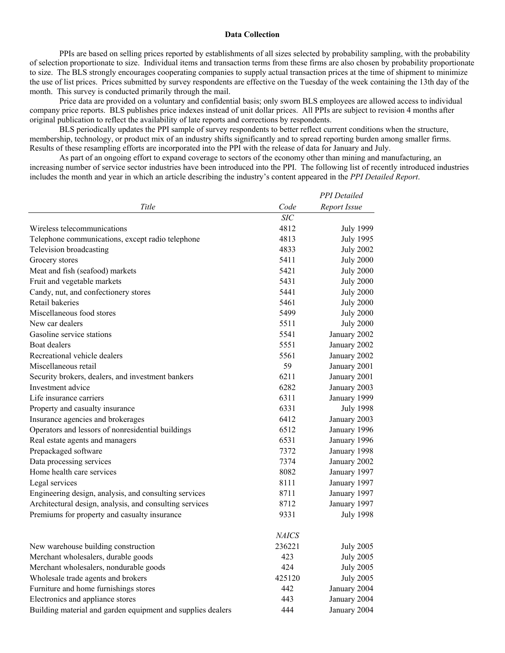#### **Data Collection**

PPIs are based on selling prices reported by establishments of all sizes selected by probability sampling, with the probability of selection proportionate to size. Individual items and transaction terms from these firms are also chosen by probability proportionate to size. The BLS strongly encourages cooperating companies to supply actual transaction prices at the time of shipment to minimize the use of list prices. Prices submitted by survey respondents are effective on the Tuesday of the week containing the 13th day of the month. This survey is conducted primarily through the mail.

 Price data are provided on a voluntary and confidential basis; only sworn BLS employees are allowed access to individual company price reports. BLS publishes price indexes instead of unit dollar prices. All PPIs are subject to revision 4 months after original publication to reflect the availability of late reports and corrections by respondents.

 BLS periodically updates the PPI sample of survey respondents to better reflect current conditions when the structure, membership, technology, or product mix of an industry shifts significantly and to spread reporting burden among smaller firms. Results of these resampling efforts are incorporated into the PPI with the release of data for January and July.

 As part of an ongoing effort to expand coverage to sectors of the economy other than mining and manufacturing, an increasing number of service sector industries have been introduced into the PPI. The following list of recently introduced industries includes the month and year in which an article describing the industry's content appeared in the *PPI Detailed Report*.

|                                                             |                  | <b>PPI</b> Detailed |
|-------------------------------------------------------------|------------------|---------------------|
| Title                                                       | Code             | Report Issue        |
|                                                             | $\overline{SIC}$ |                     |
| Wireless telecommunications                                 | 4812             | <b>July 1999</b>    |
| Telephone communications, except radio telephone            | 4813             | <b>July 1995</b>    |
| Television broadcasting                                     | 4833             | <b>July 2002</b>    |
| Grocery stores                                              | 5411             | <b>July 2000</b>    |
| Meat and fish (seafood) markets                             | 5421             | <b>July 2000</b>    |
| Fruit and vegetable markets                                 | 5431             | <b>July 2000</b>    |
| Candy, nut, and confectionery stores                        | 5441             | <b>July 2000</b>    |
| Retail bakeries                                             | 5461             | <b>July 2000</b>    |
| Miscellaneous food stores                                   | 5499             | <b>July 2000</b>    |
| New car dealers                                             | 5511             | <b>July 2000</b>    |
| Gasoline service stations                                   | 5541             | January 2002        |
| Boat dealers                                                | 5551             | January 2002        |
| Recreational vehicle dealers                                | 5561             | January 2002        |
| Miscellaneous retail                                        | 59               | January 2001        |
| Security brokers, dealers, and investment bankers           | 6211             | January 2001        |
| Investment advice                                           | 6282             | January 2003        |
| Life insurance carriers                                     | 6311             | January 1999        |
| Property and casualty insurance                             | 6331             | <b>July 1998</b>    |
| Insurance agencies and brokerages                           | 6412             | January 2003        |
| Operators and lessors of nonresidential buildings           | 6512             | January 1996        |
| Real estate agents and managers                             | 6531             | January 1996        |
| Prepackaged software                                        | 7372             | January 1998        |
| Data processing services                                    | 7374             | January 2002        |
| Home health care services                                   | 8082             | January 1997        |
| Legal services                                              | 8111             | January 1997        |
| Engineering design, analysis, and consulting services       | 8711             | January 1997        |
| Architectural design, analysis, and consulting services     | 8712             | January 1997        |
| Premiums for property and casualty insurance                | 9331             | <b>July 1998</b>    |
|                                                             | <b>NAICS</b>     |                     |
| New warehouse building construction                         | 236221           | <b>July 2005</b>    |
| Merchant wholesalers, durable goods                         | 423              | <b>July 2005</b>    |
| Merchant wholesalers, nondurable goods                      | 424              | <b>July 2005</b>    |
| Wholesale trade agents and brokers                          | 425120           | <b>July 2005</b>    |
| Furniture and home furnishings stores                       | 442              | January 2004        |
| Electronics and appliance stores                            | 443              | January 2004        |
| Building material and garden equipment and supplies dealers | 444              | January 2004        |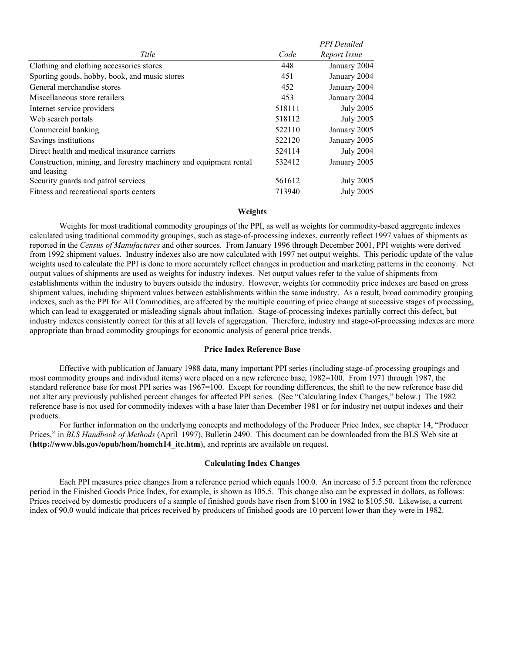|                                                                   |        | <b>PPI</b> Detailed |
|-------------------------------------------------------------------|--------|---------------------|
| Title                                                             | Code   | Report Issue        |
| Clothing and clothing accessories stores                          | 448    | January 2004        |
| Sporting goods, hobby, book, and music stores                     | 451    | January 2004        |
| General merchandise stores                                        | 452    | January 2004        |
| Miscellaneous store retailers                                     | 453    | January 2004        |
| Internet service providers                                        | 518111 | July 2005           |
| Web search portals                                                | 518112 | <b>July 2005</b>    |
| Commercial banking                                                | 522110 | January 2005        |
| Savings institutions                                              | 522120 | January 2005        |
| Direct health and medical insurance carriers                      | 524114 | <b>July 2004</b>    |
| Construction, mining, and forestry machinery and equipment rental | 532412 | January 2005        |
| and leasing                                                       |        |                     |
| Security guards and patrol services                               | 561612 | July 2005           |
| Fitness and recreational sports centers                           | 713940 | July 2005           |

#### **Weights**

Weights for most traditional commodity groupings of the PPI, as well as weights for commodity-based aggregate indexes calculated using traditional commodity groupings, such as stage-of-processing indexes, currently reflect 1997 values of shipments as reported in the *Census of Manufactures* and other sources. From January 1996 through December 2001, PPI weights were derived from 1992 shipment values. Industry indexes also are now calculated with 1997 net output weights. This periodic update of the value weights used to calculate the PPI is done to more accurately reflect changes in production and marketing patterns in the economy. Net output values of shipments are used as weights for industry indexes. Net output values refer to the value of shipments from establishments within the industry to buyers outside the industry. However, weights for commodity price indexes are based on gross shipment values, including shipment values between establishments within the same industry. As a result, broad commodity grouping indexes, such as the PPI for All Commodities, are affected by the multiple counting of price change at successive stages of processing, which can lead to exaggerated or misleading signals about inflation. Stage-of-processing indexes partially correct this defect, but industry indexes consistently correct for this at all levels of aggregation. Therefore, industry and stage-of-processing indexes are more appropriate than broad commodity groupings for economic analysis of general price trends.

#### **Price Index Reference Base**

Effective with publication of January 1988 data, many important PPI series (including stage-of-processing groupings and most commodity groups and individual items) were placed on a new reference base, 1982=100. From 1971 through 1987, the standard reference base for most PPI series was 1967=100. Except for rounding differences, the shift to the new reference base did not alter any previously published percent changes for affected PPI series. (See "Calculating Index Changes," below.) The 1982 reference base is not used for commodity indexes with a base later than December 1981 or for industry net output indexes and their products.

 For further information on the underlying concepts and methodology of the Producer Price Index, see chapter 14, "Producer Prices," in *BLS Handbook of Methods* (April 1997), Bulletin 2490. This document can be downloaded from the BLS Web site at (**http://www.bls.gov/opub/hom/homch14\_itc.htm**), and reprints are available on request.

#### **Calculating Index Changes**

Each PPI measures price changes from a reference period which equals 100.0. An increase of 5.5 percent from the reference period in the Finished Goods Price Index, for example, is shown as 105.5. This change also can be expressed in dollars, as follows: Prices received by domestic producers of a sample of finished goods have risen from \$100 in 1982 to \$105.50. Likewise, a current index of 90.0 would indicate that prices received by producers of finished goods are 10 percent lower than they were in 1982.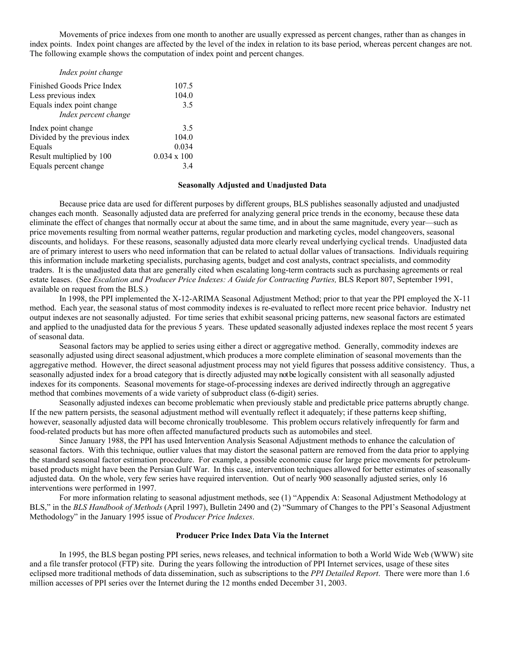Movements of price indexes from one month to another are usually expressed as percent changes, rather than as changes in index points. Index point changes are affected by the level of the index in relation to its base period, whereas percent changes are not. The following example shows the computation of index point and percent changes.

| Index point change            |                    |
|-------------------------------|--------------------|
| Finished Goods Price Index    | 107.5              |
| Less previous index           | 104.0              |
| Equals index point change     | 3.5                |
| Index percent change          |                    |
| Index point change            | 3.5                |
| Divided by the previous index | 104.0              |
| Equals                        | 0.034              |
| Result multiplied by 100      | $0.034 \times 100$ |
| Equals percent change         | 34                 |

#### **Seasonally Adjusted and Unadjusted Data**

Because price data are used for different purposes by different groups, BLS publishes seasonally adjusted and unadjusted changes each month. Seasonally adjusted data are preferred for analyzing general price trends in the economy, because these data eliminate the effect of changes that normally occur at about the same time, and in about the same magnitude, every year—such as price movements resulting from normal weather patterns, regular production and marketing cycles, model changeovers, seasonal discounts, and holidays. For these reasons, seasonally adjusted data more clearly reveal underlying cyclical trends. Unadjusted data are of primary interest to users who need information that can be related to actual dollar values of transactions. Individuals requiring this information include marketing specialists, purchasing agents, budget and cost analysts, contract specialists, and commodity traders. It is the unadjusted data that are generally cited when escalating long-term contracts such as purchasing agreements or real estate leases.(See *Escalation and Producer Price Indexes: A Guide for Contracting Parties,* BLS Report 807, September 1991, available on request from the BLS.)

In 1998, the PPI implemented the X-12-ARIMA Seasonal Adjustment Method; prior to that year the PPI employed the X-11 method. Each year, the seasonal status of most commodity indexes is re-evaluated to reflect more recent price behavior. Industry net output indexes are not seasonally adjusted. For time series that exhibit seasonal pricing patterns, new seasonal factors are estimated and applied to the unadjusted data for the previous 5 years. These updated seasonally adjusted indexes replace the most recent 5 years of seasonal data.

 Seasonal factors may be applied to series using either a direct or aggregative method. Generally, commodity indexes are seasonally adjusted using direct seasonal adjustment, which produces a more complete elimination of seasonal movements than the aggregative method. However, the direct seasonal adjustment process may not yield figures that possess additive consistency. Thus, a seasonally adjusted index for a broad category that is directly adjusted may not be logically consistent with all seasonally adjusted indexes for its components. Seasonal movements for stage-of-processing indexes are derived indirectly through an aggregative method that combines movements of a wide variety of subproduct class (6-digit) series.

Seasonally adjusted indexes can become problematic when previously stable and predictable price patterns abruptly change. If the new pattern persists, the seasonal adjustment method will eventually reflect it adequately; if these patterns keep shifting, however, seasonally adjusted data will become chronically troublesome. This problem occurs relatively infrequently for farm and food-related products but has more often affected manufactured products such as automobiles and steel.

Since January 1988, the PPI has used Intervention Analysis Seasonal Adjustment methods to enhance the calculation of seasonal factors. With this technique, outlier values that may distort the seasonal pattern are removed from the data prior to applying the standard seasonal factor estimation procedure. For example, a possible economic cause for large price movements for petroleumbased products might have been the Persian Gulf War. In this case, intervention techniques allowed for better estimates of seasonally adjusted data. On the whole, very few series have required intervention. Out of nearly 900 seasonally adjusted series, only 16 interventions were performed in 1997.

For more information relating to seasonal adjustment methods, see (1) "Appendix A: Seasonal Adjustment Methodology at BLS," in the *BLS Handbook of Methods* (April 1997), Bulletin 2490 and (2) "Summary of Changes to the PPI's Seasonal Adjustment Methodology" in the January 1995 issue of *Producer Price Indexes*.

#### **Producer Price Index Data Via the Internet**

In 1995, the BLS began posting PPI series, news releases, and technical information to both a World Wide Web (WWW) site and a file transfer protocol (FTP) site. During the years following the introduction of PPI Internet services, usage of these sites eclipsed more traditional methods of data dissemination, such as subscriptions to the *PPI Detailed Report*. There were more than 1.6 million accesses of PPI series over the Internet during the 12 months ended December 31, 2003.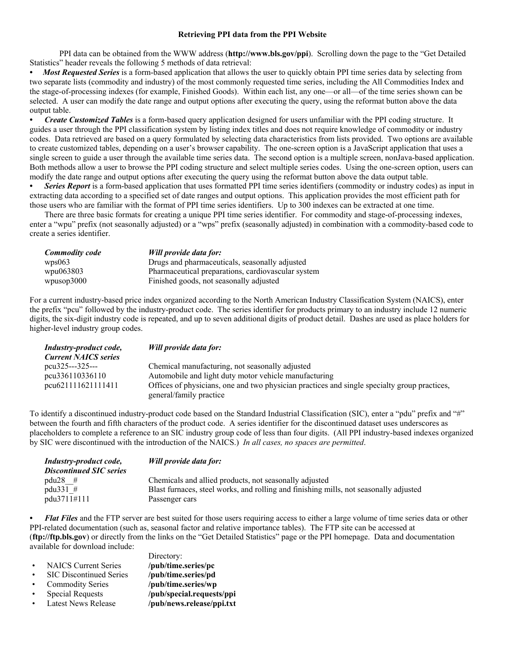#### **Retrieving PPI data from the PPI Website**

PPI data can be obtained from the WWW address (**http://www.bls.gov/ppi**). Scrolling down the page to the "Get Detailed Statistics" header reveals the following 5 methods of data retrieval:

*• Most Requested Series* is a form-based application that allows the user to quickly obtain PPI time series data by selecting from two separate lists (commodity and industry) of the most commonly requested time series, including the All Commodities Index and the stage-of-processing indexes (for example, Finished Goods). Within each list, any one—or all—of the time series shown can be selected. A user can modify the date range and output options after executing the query, using the reformat button above the data output table.

*• Create Customized Tables* is a form-based query application designed for users unfamiliar with the PPI coding structure. It guides a user through the PPI classification system by listing index titles and does not require knowledge of commodity or industry codes. Data retrieved are based on a query formulated by selecting data characteristics from lists provided. Two options are available to create customized tables, depending on a user's browser capability. The one-screen option is a JavaScript application that uses a single screen to guide a user through the available time series data. The second option is a multiple screen, nonJava-based application. Both methods allow a user to browse the PPI coding structure and select multiple series codes. Using the one-screen option, users can modify the date range and output options after executing the query using the reformat button above the data output table.

*Series Report* is a form-based application that uses formatted PPI time series identifiers (commodity or industry codes) as input in extracting data according to a specified set of date ranges and output options. This application provides the most efficient path for those users who are familiar with the format of PPI time series identifiers. Up to 300 indexes can be extracted at one time.

 There are three basic formats for creating a unique PPI time series identifier. For commodity and stage-of-processing indexes, enter a "wpu" prefix (not seasonally adjusted) or a "wps" prefix (seasonally adjusted) in combination with a commodity-based code to create a series identifier.

| Commodity code | Will provide data for:                             |
|----------------|----------------------------------------------------|
| wps063         | Drugs and pharmaceuticals, seasonally adjusted     |
| wpu063803      | Pharmaceutical preparations, cardiovascular system |
| wpusop3000     | Finished goods, not seasonally adjusted            |

For a current industry-based price index organized according to the North American Industry Classification System (NAICS), enter the prefix "pcu" followed by the industry-product code. The series identifier for products primary to an industry include 12 numeric digits, the six-digit industry code is repeated, and up to seven additional digits of product detail. Dashes are used as place holders for higher-level industry group codes.

| Industry-product code,      | Will provide data for:                                                                       |
|-----------------------------|----------------------------------------------------------------------------------------------|
| <b>Current NAICS series</b> |                                                                                              |
| $pcu325--325--$             | Chemical manufacturing, not seasonally adjusted                                              |
| pcu336110336110             | Automobile and light duty motor vehicle manufacturing                                        |
| pcu621111621111411          | Offices of physicians, one and two physician practices and single specialty group practices, |
|                             | general/family practice                                                                      |

To identify a discontinued industry-product code based on the Standard Industrial Classification (SIC), enter a "pdu" prefix and "#" between the fourth and fifth characters of the product code. A series identifier for the discontinued dataset uses underscores as placeholders to complete a reference to an SIC industry group code of less than four digits. (All PPI industry-based indexes organized by SIC were discontinued with the introduction of the NAICS.) *In all cases, no spaces are permitted*.

| <i>Industry-product code,</i><br><b>Discontinued SIC series</b> | Will provide data for:                                                                |
|-----------------------------------------------------------------|---------------------------------------------------------------------------------------|
| $pdu28$ #                                                       | Chemicals and allied products, not seasonally adjusted                                |
| pdu331 $#$                                                      | Blast furnaces, steel works, and rolling and finishing mills, not seasonally adjusted |
| pdu3711#111                                                     | Passenger cars                                                                        |

*• Flat Files* and the FTP server are best suited for those users requiring access to either a large volume of time series data or other PPI-related documentation (such as, seasonal factor and relative importance tables). The FTP site can be accessed at (**ftp://ftp.bls.gov**) or directly from the links on the "Get Detailed Statistics" page or the PPI homepage. Data and documentation available for download include:

|           |                                | Directory:                |
|-----------|--------------------------------|---------------------------|
| $\bullet$ | <b>NAICS Current Series</b>    | /pub/time.series/pc       |
| $\bullet$ | <b>SIC Discontinued Series</b> | /pub/time.series/pd       |
|           | <b>Commodity Series</b>        | /pub/time.series/wp       |
|           | <b>Special Requests</b>        | /pub/special.requests/ppi |
|           | <b>Latest News Release</b>     | /pub/news.release/ppi.txt |
|           |                                |                           |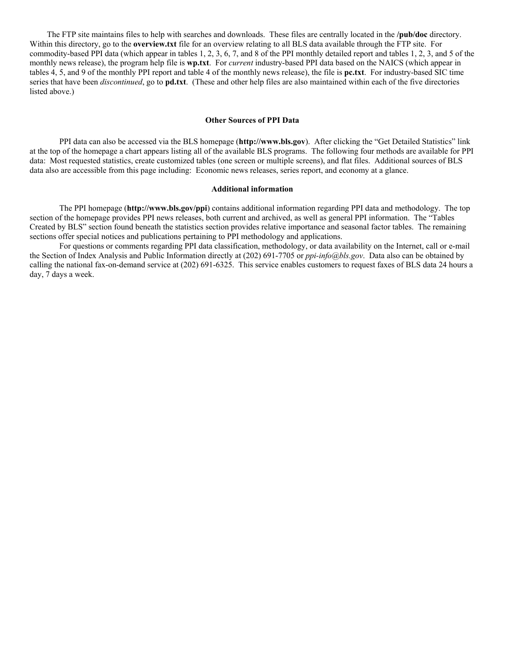The FTP site maintains files to help with searches and downloads. These files are centrally located in the **/pub/doc** directory. Within this directory, go to the **overview.txt** file for an overview relating to all BLS data available through the FTP site. For commodity-based PPI data (which appear in tables 1, 2, 3, 6, 7, and 8 of the PPI monthly detailed report and tables 1, 2, 3, and 5 of the monthly news release), the program help file is **wp.txt**. For *current* industry-based PPI data based on the NAICS (which appear in tables 4, 5, and 9 of the monthly PPI report and table 4 of the monthly news release), the file is **pc.txt**. For industry-based SIC time series that have been *discontinued*, go to **pd.txt**. (These and other help files are also maintained within each of the five directories listed above.)

#### **Other Sources of PPI Data**

PPI data can also be accessed via the BLS homepage (**http://www.bls.gov**). After clicking the "Get Detailed Statistics" link at the top of the homepage a chart appears listing all of the available BLS programs. The following four methods are available for PPI data: Most requested statistics, create customized tables (one screen or multiple screens), and flat files. Additional sources of BLS data also are accessible from this page including: Economic news releases, series report, and economy at a glance.

#### **Additional information**

The PPI homepage (**http://www.bls.gov/ppi**) contains additional information regarding PPI data and methodology. The top section of the homepage provides PPI news releases, both current and archived, as well as general PPI information. The "Tables Created by BLS" section found beneath the statistics section provides relative importance and seasonal factor tables. The remaining sections offer special notices and publications pertaining to PPI methodology and applications.

For questions or comments regarding PPI data classification, methodology, or data availability on the Internet, call or e-mail the Section of Index Analysis and Public Information directly at (202) 691-7705 or *ppi-info@bls.gov*. Data also can be obtained by calling the national fax-on-demand service at (202) 691-6325. This service enables customers to request faxes of BLS data 24 hours a day, 7 days a week.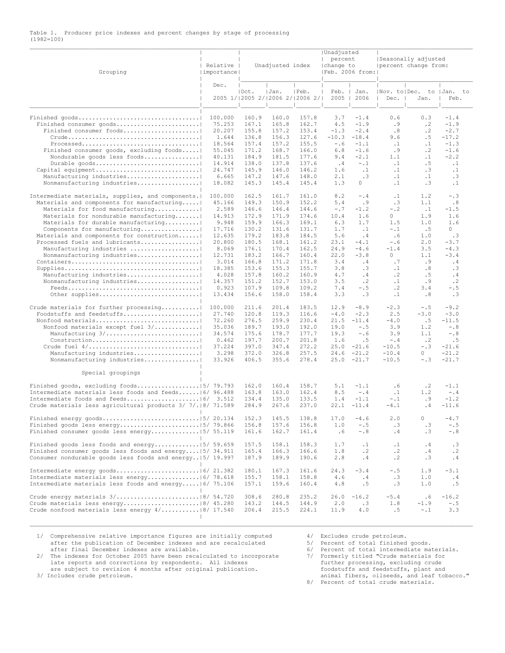#### Table 1. Producer price indexes and percent changes by stage of processing (1982=100)  $\Box$

| Grouping                                                                                                        | Relative<br>  importance |                | Unadjusted index                         |                | Unadjusted<br>$\mathbb{L}$<br>percent<br>change to<br> Feb. 2006 from: |                   |                        | Seasonally adjusted<br>percent change from: |                        |
|-----------------------------------------------------------------------------------------------------------------|--------------------------|----------------|------------------------------------------|----------------|------------------------------------------------------------------------|-------------------|------------------------|---------------------------------------------|------------------------|
|                                                                                                                 | Dec.                     | Oct.           | Jan.<br>2005 1/12005 2/12006 2/12006 2/1 | Feb.           | Feb.<br>2005                                                           | Jan.<br>2006      | Dec.                   | Nov. to Dec. to  Jan. to<br>Jan.            | Feb.                   |
| Finished consumer goods                                                                                         | 100.000<br>75.253        | 160.9<br>167.1 | 160.0<br>165.8                           | 157.8<br>162.7 | 3.7<br>4.5                                                             | $-1.4$<br>$-1.9$  | 0.6<br>. 9             | 0.3<br>$\cdot$ 2                            | $-1.4$<br>$-1.9$       |
| Finished consumer foods                                                                                         | 20.207<br>1.644          | 155.8<br>136.8 | 157.2<br>156.3                           | 153.4<br>127.6 | $-1.3$<br>$-10.3$                                                      | $-2.4$<br>$-18.4$ | .8<br>9.6              | $\cdot$ 2<br>. 5                            | $-2.7$<br>$-17.2$      |
|                                                                                                                 | 18.564                   | 157.4          | 157.2                                    | 155.5          | $-0.6$                                                                 | $-1.1$            | $\cdot$ 1              | $\cdot$ 1                                   | $-1.3$                 |
| Finished consumer goods, excluding foods                                                                        | 55.045                   | 171.2          | 168.7                                    | 166.0          | 6.8                                                                    | $-1.6$            | . 9                    | $\cdot$ 2                                   | $-1.6$                 |
| Nondurable goods less foods                                                                                     | 40.131                   | 184.9          | 181.5                                    | 177.6          | 9.4                                                                    | $-2.1$            | 1.1                    | $\cdot$ 1                                   | $-2.2$                 |
| Durable goods<br>Capital equipment                                                                              | 14.914<br>24.747         | 138.0<br>145.9 | 137.8<br>146.0                           | 137.6<br>146.2 | . 4<br>1.6                                                             | $-1$<br>$\cdot$ 1 | $\cdot$ 1<br>$\cdot$ 1 | . 5<br>$\cdot$ 3                            | $\cdot$ 1<br>$\cdot$ 1 |
| Manufacturing industries                                                                                        | 6.665                    | 147.2          | 147.6                                    | 148.0          | 2.1                                                                    | $\cdot$ 3         | $\cdot$ 1              | $\cdot$ 1                                   | .3                     |
| Nonmanufacturing industries                                                                                     | 18.082                   | 145.3          | 145.4                                    | 145.4          | 1.3                                                                    | 0                 | $\cdot$ 1              | $\cdot$ 3                                   | $\cdot$ 1              |
| Intermediate materials, supplies, and components.<br>Materials and components for manufacturing                 | 100.000<br>45.166        | 162.5<br>149.3 | 161.7<br>150.9                           | 161.0<br>152.2 | 8.2<br>5.4                                                             | $-$ .4<br>. 9     | $\cdot$ 1<br>.3        | 1.2<br>1.1                                  | $- 0.3$<br>.8          |
| Materials for food manufacturing                                                                                | 2.589                    | 146.6          | 146.4                                    | 144.6          | $-0.7$                                                                 | $-1.2$            | $-$ .2                 | $\cdot$ 1                                   | $-1.5$                 |
| Materials for nondurable manufacturing                                                                          | 14.913                   | 172.9          | 171.9                                    | 174.6          | 10.4                                                                   | 1.6               | 0                      | 1.9                                         | 1.6                    |
| Materials for durable manufacturing                                                                             | 9.948                    | 159.9          | 166.3                                    | 169.1          | 6.3                                                                    | 1.7               | 1.5                    | 1.0                                         | 1.6                    |
| Components for manufacturing<br>Materials and components for construction                                       | 17.716<br>12.635         | 130.2<br>179.2 | 131.6<br>183.8                           | 131.7<br>184.5 | 1.7<br>5.6                                                             | $\cdot$ 1<br>.4   | $-1$<br>.6             | .5<br>1.0                                   | 0<br>$\cdot$ 3         |
| Processed fuels and lubricants                                                                                  | 20.800                   | 180.5          | 168.1                                    | 161.2          | 23.1                                                                   | $-4.1$            | $-0.6$                 | 2.0                                         | $-3.7$                 |
| Manufacturing industries                                                                                        | 8.069                    | 176.1          | 170.4                                    | 162.5          | 24.9                                                                   | $-4.6$            | $-1.4$                 | 3.5                                         | $-4.3$                 |
| Nonmanufacturing industries                                                                                     | 12.731<br>3.014          | 183.2<br>166.8 | 166.7<br>171.2                           | 160.4<br>171.8 | 22.0<br>3.4                                                            | $-3.8$<br>.4      | 0<br>.7                | 1.1<br>. 9                                  | $-3.4$<br>.4           |
|                                                                                                                 | 18.385                   | 153.6          | 155.3                                    | 155.7          | 3.8                                                                    | $\cdot$ 3         | $\cdot$ 1              | .8                                          | .3                     |
| Manufacturing industries                                                                                        | 4.028                    | 157.8          | 160.2                                    | 160.9          | 4.7                                                                    | .4                | $\cdot$ 2              | .5                                          | . 4                    |
| Nonmanufacturing industries                                                                                     | 14.357                   | 151.2          | 152.7                                    | 153.0          | 3.5                                                                    | $\cdot$ 2         | $\cdot$ 1              | . 9                                         | $\cdot$ 2              |
| $\text{Feeds.} \dots \dots \dots \dots \dots \dots \dots \dots \dots \dots \dots \dots \dots$<br>Other supplies | 0.923<br>13.434          | 107.9<br>156.6 | 109.8<br>158.0                           | 109.2<br>158.4 | 7.4<br>3.3                                                             | $- 0.5$<br>.3     | $\cdot$ 2<br>$\cdot$ 1 | 3.4<br>.8                                   | $- 0.5$<br>.3          |
| Crude materials for further processing<br>Foodstuffs and feedstuffs                                             | 100.000<br>27.740        | 211.6<br>120.8 | 201.4<br>119.3                           | 183.5<br>116.6 | 12.9<br>$-4.0$                                                         | $-8.9$<br>$-2.3$  | $-2.3$<br>2.5          | $- 0.5$<br>$-3.0$                           | $-9.2$<br>$-3.0$       |
| Nonfood materials                                                                                               | 72.260                   | 276.5          | 259.9                                    | 230.4          | 21.5                                                                   | $-11.4$           | $-4.0$                 | .5                                          | $-11.5$                |
| Nonfood materials except fuel 3/                                                                                | 35.036                   | 189.7          | 193.0                                    | 192.0          | 19.0                                                                   | $- 0.5$           | 3.9                    | 1.2                                         | $-0.8$                 |
| Manufacturing 3/<br>Construction                                                                                | 34.574<br>0.462          | 175.6<br>197.7 | 178.7<br>200.7                           | 177.7<br>201.8 | 19.3<br>1.6                                                            | $-0.6$<br>.5      | 3.9<br>$-$ .4          | 1.1<br>$\cdot$ 2                            | $-0.8$<br>.5           |
| Crude fuel $4/$                                                                                                 | 37.224                   | 397.0          | 347.4                                    | 272.2          | 25.0                                                                   | $-21.6$           | $-10.5$                | $-1.3$                                      | $-21.6$                |
| Manufacturing industries                                                                                        | 3.298                    | 372.0          | 326.8                                    | 257.5          | 24.6                                                                   | $-21.2$           | $-10.4$                | 0                                           | $-21.2$                |
| Nonmanufacturing industries                                                                                     | 33.926                   | 406.5          | 355.6                                    | 278.4          | 25.0                                                                   | $-21.7$           | $-10.5$                | $- 0.3$                                     | $-21.7$                |
| Special groupings                                                                                               |                          |                |                                          |                |                                                                        |                   |                        |                                             |                        |
|                                                                                                                 |                          | 162.0          | 160.4                                    | 158.7          | 5.1                                                                    | $-1.1$            | . 6                    | $\cdot$ 2                                   | $-1.1$                 |
| Intermediate materials less foods and feeds 6/ 96.488                                                           |                          | 163.8          | 163.0                                    | 162.4          | 8.5                                                                    | $-$ .4            | $\cdot$ 1              | 1.2                                         | $-1.4$                 |
| Crude materials less agricultural products 3/ 7/.   8/ 71.589                                                   |                          | 134.4<br>284.9 | 135.0<br>267.6                           | 133.5<br>237.0 | 1.4<br>22.1                                                            | $-1.1$<br>$-11.4$ | $-$ .1<br>$-4.1$       | . 9<br>.4                                   | $-1.2$<br>$-11.6$      |
|                                                                                                                 |                          | 152.3          | 145.5                                    | 138.8          | 17.0                                                                   | $-4.6$            | 2.0                    | 0                                           | $-4.7$                 |
|                                                                                                                 |                          | 156.8          | 157.6                                    | 156.8          | 1.0                                                                    | $- . 5$           | .3                     | .3                                          | $- . 5$                |
| Finished consumer goods less energy   5/ 55.119                                                                 |                          | 161.6          | 162.7                                    | 161.4          | . 6                                                                    | $-0.8$            | $\cdot$ 4              | .3                                          | $-$ .8                 |
|                                                                                                                 |                          | 157.5          | 158.1                                    | 158.3          | 1.7                                                                    | $\cdot$ 1         | $\cdot$ 1              | .4                                          | $\cdot$ 3              |
| Finished consumer goods less foods and energy   5/ 34.911                                                       |                          | 165.4          | 166.3                                    | 166.6          | 1.8                                                                    | $\cdot$ 2         | $\cdot$ 2              | .4                                          | $\cdot$ 2              |
| Consumer nondurable goods less foods and energy   5/ 19.997                                                     |                          | 187.9          | 189.9                                    | 190.6          | 2.8                                                                    | .4                | $\cdot$ 2              | .3                                          | $\cdot$ 4              |
|                                                                                                                 |                          | 180.1          | 167.3                                    | 161.6          | 24.3                                                                   | $-3.4$            | $- . 5$                | 1.9                                         | $-3.1$                 |
|                                                                                                                 |                          | 155.7          | 158.1                                    | 158.8          | 4.6                                                                    | .4                | .3                     | 1.0                                         | $\cdot$ 4              |
| Intermediate materials less foods and energy $ 6/75.106$                                                        |                          | 157.1          | 159.6                                    | 160.4          | 4.8                                                                    | .5                | .3                     | 1.0                                         | .5                     |
|                                                                                                                 |                          | 308.6          | 280.8                                    | 235.2          | 26.0                                                                   | $-16.2$           | $-5.4$                 | . 6                                         | $-16.2$                |
|                                                                                                                 |                          | 143.2          | 144.5                                    | 144.9          | 2.0                                                                    | $\cdot$ 3         | 1.8                    | $-1.9$                                      | $- 0.5$                |
| Crude nonfood materials less energy $4/$  8/ 17.540                                                             |                          | 206.4          | 215.5                                    | 224.1          | 11.9                                                                   | 4.0               | .5                     | $-1$                                        | 3.3                    |
|                                                                                                                 |                          |                |                                          |                |                                                                        |                   |                        |                                             |                        |

1/ Comprehensive relative importance figures are initially computed 4/ Excludes crude petroleum.<br>
after the publication of December indexes and are recalculated 5/ Percent of total finished goods.<br>
4/ Percent of total inte after the publication of December indexes and are recalculated  $5/$  after final December indexes are available.  $6/$ 

after final December indexes are available.<br>
2/ The indexes for October 2005 have been recalculated to incorporate and the reports and corrections by respondents. All indexes are subject to review are subject to revision 4

3/ Includes crude petroleum. animal fibers, oilseeds, and leaf tobacco." 8/ Percent of total crude materials.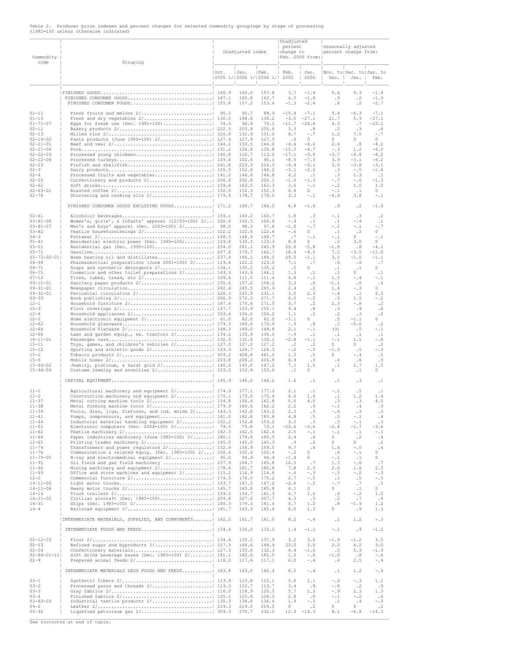| Commodity<br>code                                                                                                                                                                                                                                                                                                                                                        | Grouping                                                                                                                                                                                                                                                                                                                                                                                                                                                                                                                                                                                                                                                                                                                      |       | Unadjusted index                                                                                                                                                                                                   |                                                                                                                                                                                                                    | Unadjusted<br>  percent<br>change to<br>  Feb. 2006 from:                                                                                                                              |                                                                                                                                                                                                                 | Seasonally adjusted<br>percent change from:                                                                                                                                                            |                                                                                                                                                                                                                             |                                                                                                                                                                                               |  |
|--------------------------------------------------------------------------------------------------------------------------------------------------------------------------------------------------------------------------------------------------------------------------------------------------------------------------------------------------------------------------|-------------------------------------------------------------------------------------------------------------------------------------------------------------------------------------------------------------------------------------------------------------------------------------------------------------------------------------------------------------------------------------------------------------------------------------------------------------------------------------------------------------------------------------------------------------------------------------------------------------------------------------------------------------------------------------------------------------------------------|-------|--------------------------------------------------------------------------------------------------------------------------------------------------------------------------------------------------------------------|--------------------------------------------------------------------------------------------------------------------------------------------------------------------------------------------------------------------|----------------------------------------------------------------------------------------------------------------------------------------------------------------------------------------|-----------------------------------------------------------------------------------------------------------------------------------------------------------------------------------------------------------------|--------------------------------------------------------------------------------------------------------------------------------------------------------------------------------------------------------|-----------------------------------------------------------------------------------------------------------------------------------------------------------------------------------------------------------------------------|-----------------------------------------------------------------------------------------------------------------------------------------------------------------------------------------------|--|
|                                                                                                                                                                                                                                                                                                                                                                          |                                                                                                                                                                                                                                                                                                                                                                                                                                                                                                                                                                                                                                                                                                                               | IOct. | IJan.<br> 2005 1/ 2006 1/ 2006 1/  2005                                                                                                                                                                            | Feb.                                                                                                                                                                                                               | $\mathbb{L}$<br>Feb.<br>$\mathbf{I}$                                                                                                                                                   | Jan.<br>2006                                                                                                                                                                                                    | Nov. to   Dec. to   Jan. to<br>  Dec.   Jan.   Feb.                                                                                                                                                    |                                                                                                                                                                                                                             |                                                                                                                                                                                               |  |
|                                                                                                                                                                                                                                                                                                                                                                          | FINISHED CONSUMER FOODS  155.8                                                                                                                                                                                                                                                                                                                                                                                                                                                                                                                                                                                                                                                                                                |       | 160.0<br>165.8<br>157.2                                                                                                                                                                                            | 157.8<br>162.7<br>153.4                                                                                                                                                                                            | 3.7<br>4.5<br>$-1.3$                                                                                                                                                                   | $-1.4$<br>$-1.9$<br>$-2.4$                                                                                                                                                                                      | 0.6<br>. 9<br>.8                                                                                                                                                                                       | 0.3<br>$\cdot$ 2<br>$\cdot$ 2                                                                                                                                                                                               | $-1.4$<br>$-1.9$<br>$-2.7$                                                                                                                                                                    |  |
| $01 - 11$<br>$01 - 13$<br>$01 - 71 - 07$<br>$02 - 11$<br>$02 - 13$                                                                                                                                                                                                                                                                                                       | Eggs for fresh use (Dec. 1991=100) 74.5                                                                                                                                                                                                                                                                                                                                                                                                                                                                                                                                                                                                                                                                                       |       | 95.7<br>186.8<br>96.9<br>203.9<br>131.9                                                                                                                                                                            | 88.9<br>136.2<br>73.1<br>205.6<br>131.0                                                                                                                                                                            | $-15.4$<br>$-3.5$<br>$-11.7$<br>3.3<br>8.7                                                                                                                                             | $-7.1$<br>$-27.1$<br>$-24.6$<br>.8<br>$-0.7$                                                                                                                                                                    | 3.4<br>21.7<br>4.3<br>$\cdot$ 2<br>1.2                                                                                                                                                                 | $-6.3$<br>5.9<br>.7<br>.3<br>7.5                                                                                                                                                                                            | $-7.1$<br>$-27.1$<br>$-23.1$<br>.8<br>$-0.7$                                                                                                                                                  |  |
| $02 - 14 - 02$<br>$02 - 21 - 01$<br>$02 - 21 - 04$<br>$02 - 22 - 03$<br>$02 - 22 - 06$<br>$02 - 23$<br>$02 - 3$<br>$02 - 4$                                                                                                                                                                                                                                              | Pasta products (June 1985=100) 2/ 127.9                                                                                                                                                                                                                                                                                                                                                                                                                                                                                                                                                                                                                                                                                       |       | 127.9<br>150.5<br>126.8<br>116.7<br>102.6<br>223.3<br>152.6<br>144.6                                                                                                                                               | 127.9<br>144.2<br>120.8<br>113.2<br>95.1<br>216.3<br>149.2<br>144.8                                                                                                                                                | .6<br>$-4.4$<br>$-10.5$<br>$-17.1$<br>$-8.9$<br>$-4.4$<br>$-3.1$<br>4.2                                                                                                                | $\circ$<br>$-4.2$<br>$-4.7$<br>$-3.0$<br>$-7.3$<br>$-3.1$<br>$-2.2$<br>$\ldots$ 1                                                                                                                               | $\Omega$<br>2.4<br>$- 0.3$<br>$-3.7$<br>3.9<br>3.5<br>.3<br>.3                                                                                                                                         | $\Omega$<br>.8<br>1.2<br>$-6.8$<br>$-3.1$<br>$-3.8$<br>$-0.5$<br>1.3                                                                                                                                                        | $\circ$<br>$-4.2$<br>$-6.0$<br>$-8.2$<br>$-6.2$<br>$-3.1$<br>$-1.8$<br>$\cdot$ 1                                                                                                              |  |
| $02 - 55$<br>$02 - 62$<br>$02 - 63 - 01$<br>$02 - 78$                                                                                                                                                                                                                                                                                                                    |                                                                                                                                                                                                                                                                                                                                                                                                                                                                                                                                                                                                                                                                                                                               |       | 202.8<br>163.5<br>152.3<br>178.7                                                                                                                                                                                   | 200.1<br>163.3<br>152.3<br>178.5                                                                                                                                                                                   | $-1.6$<br>3.6<br>6.8<br>3.3                                                                                                                                                            | $-1.3$<br>$-1.1$<br>$\circ$<br>$-1$                                                                                                                                                                             | $- 0.7$<br>$- 0.2$<br>$-1.1$<br>$-4.9$                                                                                                                                                                 | $-0.6$<br>1.0<br>$\cdot$ 1<br>3.8                                                                                                                                                                                           | $-1.3$<br>1.0<br>0<br>$-1.1$                                                                                                                                                                  |  |
| $02 - 61$                                                                                                                                                                                                                                                                                                                                                                | FINISHED CONSUMER GOODS EXCLUDING FOODS 171.2                                                                                                                                                                                                                                                                                                                                                                                                                                                                                                                                                                                                                                                                                 |       | 168.7<br>160.2                                                                                                                                                                                                     | 166.0<br>160.7                                                                                                                                                                                                     | 6.8<br>1.8                                                                                                                                                                             | $-1.6$<br>.3                                                                                                                                                                                                    | .9<br>$- . 1$                                                                                                                                                                                          | $\cdot$ 2<br>.3                                                                                                                                                                                                             | $-1.6$<br>$\cdot$ 2                                                                                                                                                                           |  |
| $03 - 81 - 06$<br>$03 - 81 - 07$<br>$03 - 82$<br>$04 - 3$<br>$05 - 41$<br>$05 - 51$                                                                                                                                                                                                                                                                                      | Women's, girls', & infants' apparel (12/03=100) 2/  100.6<br>Men's and boys' apparel (Dec. 2003=100) 2/  98.0<br>Residential electric power (Dec. 1990=100)  129.8                                                                                                                                                                                                                                                                                                                                                                                                                                                                                                                                                            |       | 100.5<br>98.3<br>122.6<br>148.9<br>133.3<br>261.1                                                                                                                                                                  | 100.6<br>97.6<br>122.6<br>148.7<br>133.3<br>245.9                                                                                                                                                                  | $-4$<br>$-1.0$<br>$-0.6$<br>$\cdot$ 7<br>8.8<br>25.6                                                                                                                                   | $\cdot$ 1<br>$-$ . 7<br>$\circ$<br>$-1.1$<br>$\circ$<br>$-5.8$                                                                                                                                                  | $\cdot$ 1<br>$- 0.2$<br>$\cdot$ 1<br>$-1$<br>$\cdot$ 2<br>$-1.8$                                                                                                                                       | $- .4$<br>$-1$<br>$\cdot$ 2<br>0<br>3.0<br>.8                                                                                                                                                                               | $\cdot$ 1<br>$-$ .7<br>0<br>$- . 1$<br>0<br>$-4.1$                                                                                                                                            |  |
| $05 - 71$<br>$05 - 73 - 02 - 01$<br>$06 - 38$<br>$06 - 71$<br>$06 - 75$<br>$07 - 12$                                                                                                                                                                                                                                                                                     | Home heating oil and distillates 237.9<br>Pharmaceutical preparations (June 2001=100) $2/\ldots$   119.4<br>Cosmetics and other toilet preparations 2/   143.3                                                                                                                                                                                                                                                                                                                                                                                                                                                                                                                                                                |       | 179.7<br>186.1<br>122.2<br>135.2<br>143.9<br>111.5                                                                                                                                                                 | 162.7<br>184.0<br>123.0<br>135.2<br>144.1<br>111.4                                                                                                                                                                 | 18.4<br>29.0<br>7.1<br>.5<br>1.3<br>4.8                                                                                                                                                | $-9.5$<br>$-1.1$<br>$\cdot$ 7<br>0<br>$\cdot$ 1<br>-.1                                                                                                                                                          | 7.2<br>3.5<br>.6<br>$\cdot$ 1<br>$\cdot$ 1<br>1.5                                                                                                                                                      | $-3.5$<br>$-1.0$<br>.6<br>.1<br>$\Omega$<br>$-.4$                                                                                                                                                                           | $-11.0$<br>$-1.1$<br>.7<br>$\Omega$<br>$\cdot$ 1<br>-.1                                                                                                                                       |  |
| $09 - 15 - 01$<br>$09 - 31 - 01$<br>$09 - 32 - 01$<br>$09 - 33$<br>$12 - 1$<br>$12 - 3$                                                                                                                                                                                                                                                                                  | Periodical circulation 2/ 226.3                                                                                                                                                                                                                                                                                                                                                                                                                                                                                                                                                                                                                                                                                               |       | 157.2<br>245.5<br>225.9<br>272.3<br>170.6<br>153.9                                                                                                                                                                 | 158.2<br>245.9<br>231.1<br>271.7<br>171.0<br>155.1                                                                                                                                                                 | 3.3<br>2.4<br>3.0<br>4.0<br>3.7<br>9.4                                                                                                                                                 | .6<br>$\cdot$ 2<br>2.3<br>$- 0.2$<br>$\cdot$ 2<br>.8                                                                                                                                                            | $-1.1$<br>1.4<br>$-.4$<br>.5<br>2.3<br>.3                                                                                                                                                              | .6<br>$- 0.3$<br>.1<br>1.5<br>$-0.8$<br>. 9                                                                                                                                                                                 | .6<br>$\Omega$<br>2.3<br>$- 0.2$<br>$\cdot$ 2<br>.8                                                                                                                                           |  |
| $12 - 4$<br>$12 - 5$<br>$12 - 62$<br>$12 - 64$<br>$12 - 66$<br>$14 - 11 - 01$<br>$15 - 11$<br>$15 - 12$<br>$15 - 2$<br>$15 - 5$<br>$15 - 94 - 02$                                                                                                                                                                                                                        | Lawn and garden equip., ex. tractors 2/   134.2<br>Toys, games, and children's vehicles 2/ 127.0<br>Jewelry, platinum, & karat gold 2/ 140.6                                                                                                                                                                                                                                                                                                                                                                                                                                                                                                                                                                                  |       | 104.0<br>62.0<br>169.6<br>149.0<br>133.9<br>131.6<br>127.0<br>124.7<br>458.8<br>206.2<br>145.0                                                                                                                     | 104.2<br>62.0<br>170.9<br>148.8<br>134.0<br>130.1<br>127.2<br>124.3<br>461.0<br>206.8<br>147.2                                                                                                                     | 1.1<br>$-3.1$<br>$-.9$<br>2.1<br>$-0.9$<br>$-2.8$<br>$\cdot$ 2<br>$- 0.2$<br>1.5<br>4.9<br>7.1                                                                                         | $\cdot$ 2<br>$\Omega$<br>.8<br>$-1.1$<br>$\cdot$ 1<br>$-1.1$<br>$\cdot$ 2<br>$- 0.3$<br>.5<br>.3<br>1.5                                                                                                         | $\cdot$ 2<br>.5<br>$\cdot$ 2<br>(3)<br>.1<br>$-1.1$<br>$\circ$<br>$-1.3$<br>$\cap$<br>.4<br>$\cdot$ 1                                                                                                  | .3<br>$-1.1$<br>$-5.6$<br>.5<br>$\cdot$ 1<br>1.1<br>$\Omega$<br>.5<br>$-.4$<br>.6<br>2.7                                                                                                                                    | $\cdot$ 2<br>$\Omega$<br>$\cdot$ 2<br>-.1<br>$\cdot$ 1<br>$- 0.8$<br>$\cdot$ 2<br>$-0.3$<br>.5<br>$\cdot$ 3<br>1.5                                                                            |  |
| $15 - 94 - 04$                                                                                                                                                                                                                                                                                                                                                           |                                                                                                                                                                                                                                                                                                                                                                                                                                                                                                                                                                                                                                                                                                                               |       | 153.6<br>146.0                                                                                                                                                                                                     | 153.6<br>146.2                                                                                                                                                                                                     | $\cdot$ 1<br>1.6                                                                                                                                                                       | 0<br>$\cdot$ 1                                                                                                                                                                                                  | $\Omega$<br>$\cdot$ 1                                                                                                                                                                                  | $\cdot$ 1<br>$\cdot$ 3                                                                                                                                                                                                      | 0<br>$\cdot$ 1                                                                                                                                                                                |  |
| $11 - 1$<br>$11 - 2$<br>$11 - 37$<br>$11 - 38$<br>$11 - 39$<br>$11 - 41$<br>$11 - 44$<br>$11 - 51$<br>$11 - 62$<br>$11 - 64$<br>$11 - 65$<br>ш<br>$11 - 74$<br>٠<br>$11 - 76$<br>ш<br>$11 - 79 - 05$<br>$11 - 91$<br>$11 - 92$<br>-1<br>$11 - 93$<br>п<br>$12 - 2$<br>ш<br>$14 - 11 - 05$<br>ш<br>$14 - 11 - 06$<br>$14 - 14$<br>$14 - 21 - 02$<br>$14 - 31$<br>$14 - 4$ | Agricultural machinery and equipment 2/ 174.9<br>Construction machinery and equipment 2/   170.1<br>Metal forming machine tools 2/ 179.9<br>Tools, dies, jigs, fixtures, and ind. molds 2/   143.3<br>Pumps, compressors, and equipment  181.0<br>Industrial material handling equipment $2/\ldots$   152.2<br>Electronic computers (Dec. 2004=100) 2/  79.5<br>Paper industries machinery (June 1982=100) 2/  180.1<br>Transformers and power regulators 2/ 152.9<br>Communication & related equip. (Dec. 1985=100) 2/   102.4<br>X-ray and electromedical equipment 2/ 95.0<br>Oil field and gas field machinery    157.9<br>Mining machinery and equipment 2/  178.6<br>Office and store machines and equipment 2/   115.2 |       | 177.1<br>173.0<br>156.6<br>180.6<br>142.8<br>182.8<br>152.8<br>75.8<br>162.5<br>179.8<br>145.0<br>158.9<br>102.4<br>94.9<br>164.7<br>181.7<br>114.9<br>176.0<br>147.5<br>165.8<br>159.7<br>207.0<br>179.3<br>163.3 | 177.3<br>175.4<br>162.8<br>182.2<br>143.2<br>183.8<br>153.2<br>73.1<br>162.4<br>180.5<br>145.3<br>159.5<br>102.4<br>94.9<br>165.8<br>185.8<br>114.6<br>175.2<br>147.2<br>165.8<br>161.3<br>207.7<br>181.4<br>165.4 | 2.1<br>6.6<br>5.6<br>2.2<br>2.3<br>4.8<br>3.5<br>$-22.6$<br>2.5<br>2.4<br>. 9<br>9.7<br>$- 0.2$<br>$-1.4$<br>10.5<br>7.8<br>$-0.6$<br>2.7<br>$-2.6$<br>4.1<br>4.7<br>4.3<br>4.7<br>6.0 | $\cdot$ 1<br>1.4<br>4.0<br>. 9<br>.3<br>.5<br>$\cdot$ 3<br>$-3.6$<br>$-1.1$<br>.4<br>$\cdot$ 2<br>.4<br>$\Omega$<br>0<br>$\cdot$ 7<br>2.3<br>$- 0.3$<br>$- 0.5$<br>$-$ .2<br>$\circ$<br>1.0<br>.3<br>1.2<br>1.3 | $-1$<br>$\cdot$ 1<br>.3<br>- . 1<br>$-0.6$<br>.5<br>.5<br>$-2.4$<br>$-1$<br>0<br>$\Omega$<br>1.4<br>.6<br>$-1$<br>1.3<br>2.0<br>$- 0.5$<br>$\cdot$ 1<br>$-1.7$<br>$\cap$<br>.4<br>$\cdot$ 2<br>.8<br>0 | .5<br>1.2<br>.3<br>.4<br>$\cdot$ 3<br>$-1$<br>$-1$<br>$-1.7$<br>$\cdot$ 1<br>$\cdot$ 2<br>0<br>$- . 5$<br>$-1.1$<br>$\cdot$ 1<br>$-0.6$<br>1.6<br>$- 0.2$<br>.5<br>$\cdot$ 7<br>$\cdot$ 1<br>$- 0.2$<br>.7<br>$-1.9$<br>. 9 | $\cdot$ 1<br>1.4<br>4.0<br>.9<br>.3<br>.4<br>.3<br>$-3.6$<br>$-1.1$<br>.4<br>$\cdot$ 2<br>.4<br>$\Omega$<br>0<br>.7<br>2.3<br>$- 0.3$<br>$- 0.5$<br>.5<br>$\Omega$<br>1.0<br>.4<br>1.2<br>1.3 |  |
|                                                                                                                                                                                                                                                                                                                                                                          | INTERMEDIATE MATERIALS, SUPPLIES, AND COMPONENTS   162.5                                                                                                                                                                                                                                                                                                                                                                                                                                                                                                                                                                                                                                                                      |       | 161.7<br>135.0                                                                                                                                                                                                     | 161.0<br>133.5                                                                                                                                                                                                     | 8.2<br>1.4                                                                                                                                                                             | $-.4$<br>$-1.1$                                                                                                                                                                                                 | $\cdot$ 1<br>$-1$                                                                                                                                                                                      | 1.2<br>. 9                                                                                                                                                                                                                  | $- 0.3$<br>$-1.2$                                                                                                                                                                             |  |
| $02 - 12 - 03$<br>$02 - 53$<br>п<br>$02 - 54$<br>$02 - 64 - 01 - 11$<br>$02 - 9$                                                                                                                                                                                                                                                                                         | Refined sugar and byproducts 2/ 127.9<br>Soft drink beverage bases (Dec. 1985=100) 2/   181.1                                                                                                                                                                                                                                                                                                                                                                                                                                                                                                                                                                                                                                 |       | 133.2<br>144.6<br>133.6<br>182.6<br>117.6                                                                                                                                                                          | 137.9<br>148.9<br>132.3<br>181.5<br>117.1                                                                                                                                                                          | 3.2<br>23.0<br>4.4<br>1.5<br>6.0                                                                                                                                                       | 3.5<br>3.0<br>$-1.0$<br>$-0.6$<br>$-.4$                                                                                                                                                                         | $-1.9$<br>2.2<br>. 5<br>$-1.0$<br>.4                                                                                                                                                                   | $-1.2$<br>4.2<br>5.3<br>.8<br>2.5                                                                                                                                                                                           | 3.5<br>3.0<br>$-1.9$<br>$-0.6$<br>$-$ . 4                                                                                                                                                     |  |
| $03 - 1$                                                                                                                                                                                                                                                                                                                                                                 | INTERMEDIATE MATERIALS LESS FOODS AND FEEDS  163.8                                                                                                                                                                                                                                                                                                                                                                                                                                                                                                                                                                                                                                                                            |       | 163.0<br>113.8                                                                                                                                                                                                     | 162.4<br>115.1                                                                                                                                                                                                     | 8.5<br>5.6                                                                                                                                                                             | $-$ .4<br>1.1                                                                                                                                                                                                   | $\cdot$ 1<br>$- 0.2$                                                                                                                                                                                   | 1.2<br>$- 0.3$                                                                                                                                                                                                              | $- .4$<br>1.1                                                                                                                                                                                 |  |
| $03 - 2$<br>ш<br>$03 - 3$<br>ш<br>$03 - 4$<br>ш<br>$03 - 83 - 03$<br>п<br>$04 - 2$<br>$05 - 32$<br>ш                                                                                                                                                                                                                                                                     | See footnotes at end of table.                                                                                                                                                                                                                                                                                                                                                                                                                                                                                                                                                                                                                                                                                                |       | 112.7<br>118.9<br>125.6<br>136.8<br>219.0<br>270.7                                                                                                                                                                 | 113.7<br>120.5<br>126.3<br>136.4<br>219.5<br>232.0                                                                                                                                                                 | 3.4<br>5.7<br>2.8<br>1.9<br>$\circ$<br>12.9                                                                                                                                            | .9<br>1.3<br>. 6<br>$- 0.3$<br>$\cdot$ 2<br>$-14.3$                                                                                                                                                             | $- 0.8$<br>$- . 9$<br>$- . 1$<br>$\cdot$ 1<br>$\Omega$<br>8.1                                                                                                                                          | $\cdot$ 2<br>2.3<br>$- 0.2$<br>.4<br>$\circ$<br>$-6.8$                                                                                                                                                                      | .9<br>1.3<br>.6<br>$- 0.3$<br>$\cdot$ 2<br>$-14.3$                                                                                                                                            |  |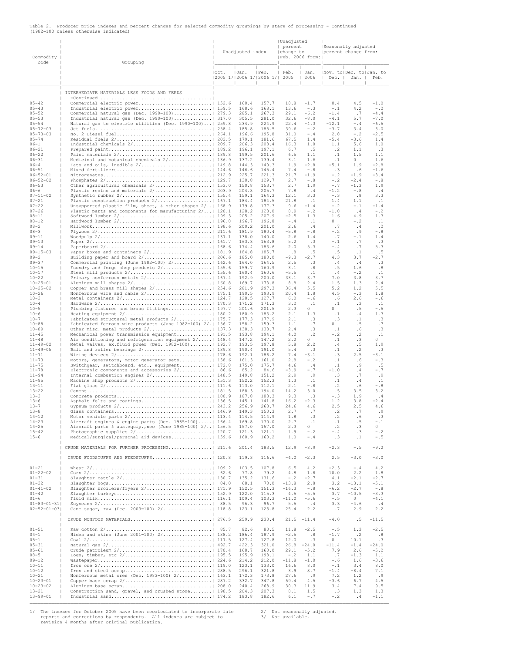|                                       |  |  |  |  |  |  | Table 2. Producer price indexes and percent changes for selected commodity groupings by stage of processing - Continued |  |
|---------------------------------------|--|--|--|--|--|--|-------------------------------------------------------------------------------------------------------------------------|--|
| (1982=100 unless otherwise indicated) |  |  |  |  |  |  |                                                                                                                         |  |

| Commodity<br>code                | Grouping                                                                                          |          | Unadjusted index |                                  | Unadjusted<br>percent<br>change to | Feb. 2006 from:              | Seasonally adjusted<br>percent change from: |                     |                        |
|----------------------------------|---------------------------------------------------------------------------------------------------|----------|------------------|----------------------------------|------------------------------------|------------------------------|---------------------------------------------|---------------------|------------------------|
|                                  |                                                                                                   | $ $ Oct. | Jan.             | Feb.<br> 2005 1/ 2006 1/ 2006 1/ | Feb.<br>2005                       | Jan.<br>2006<br>$\mathbf{I}$ | Nov. to   Dec. to   Jan. to<br>Dec.         | - 11<br>Jan.        | Feb.                   |
|                                  | INTERMEDIATE MATERIALS LESS FOODS AND FEEDS                                                       |          |                  |                                  |                                    |                              |                                             |                     |                        |
| $05 - 42$                        | Commercial electric power 152.6                                                                   |          | 160.4            | 157.7                            | 10.8                               | $-1.7$                       | 0.4                                         | 4.5                 | $-1.0$                 |
| $05 - 43$                        |                                                                                                   |          | 168.6            | 168.1                            | 13.6                               | $- 0.3$                      | $-1$                                        | 4.2                 | $-1.2$                 |
| $05 - 52$<br>$05 - 53$           | Commercial natural gas (Dec. 1990=100)   279.3<br>Industrial natural gas (Dec. $1990=100$ ) 317.0 |          | 285.1<br>305.5   | 267.3<br>281.0                   | 29.1<br>32.6                       | $-6.2$<br>$-8.0$             | $-1.4$<br>$-4.1$                            | $\cdot$ .7<br>5.7   | $-4.4$<br>$-7.0$       |
| $05 - 54$                        | Natural gas to electric utilities (Dec. 1990=100)   259.8                                         |          | 234.9            | 224.9                            | 22.4                               | $-4.3$                       | $-12.1$                                     | $-.4$               | $-6.5$                 |
| $05 - 72 - 03$<br>$05 - 73 - 03$ |                                                                                                   |          | 185.8<br>196.6   | 185.5<br>195.8                   | 39.6<br>31.0                       | $- 0.2$<br>$-$ .4            | $-3.7$<br>2.8                               | 3.4<br>$- 0.2$      | 3.0<br>$-2.5$          |
| $05 - 74$                        |                                                                                                   |          | 179.1            | 181.6                            | 67.5                               | 1.4                          | $-5.4$                                      | $-3.6$              | 1.4                    |
| $06 - 1$                         |                                                                                                   |          | 206.3            | 208.4                            | 16.3                               | 1.0                          | 1.1                                         | 5.6                 | 1.0                    |
| $06 - 21$<br>$06 - 22$           |                                                                                                   |          | 196.1<br>199.5   | 197.1<br>201.6                   | 6.7<br>6.5                         | .5<br>1.1                    | $\cdot$ 2<br>$\cdot$ 1                      | 1.1<br>1.5          | .3<br>1.1              |
| $06 - 31$                        | Medicinal and botanical chemicals 2/  136.9                                                       |          | 137.2            | 139.4                            | 3.1                                | 1.6                          | $\cdot$ 1                                   | 0                   | 1.6                    |
| $06 - 4$<br>$06 - 51$            |                                                                                                   |          | 144.3<br>146.6   | 140.3<br>145.4                   | 1.9<br>7.4                         | $-2.8$<br>$-0.8$             | $-5.1$<br>.3                                | 1.9<br>.6           | $-2.8$<br>$-1.6$       |
| $06 - 52 - 01$                   |                                                                                                   |          | 225.7            | 221.3                            | 21.7                               | $-1.9$                       | $- 0.2$                                     | $-1.9$              | $-3.4$                 |
| $06 - 52 - 02$                   |                                                                                                   |          | 130.8            | 129.7                            | 2.7                                | $-0.8$                       | $- 0.2$                                     | $-2.4$              | $- 0.8$                |
| $06 - 53$<br>$06 - 6$            | Other agricultural chemicals 2/   153.0                                                           |          | 150.8<br>204.8   | 153.7<br>205.7                   | 2.7<br>7.8                         | 1.9<br>.4                    | $-0.7$<br>$-1.2$                            | $-1.3$<br>$-0.8$    | 1.9<br>.4              |
| $07 - 11 - 02$                   |                                                                                                   |          | 159.1            | 164.3                            | 12.1                               | 3.3                          | $- 0.3$                                     | .8                  | 3.3                    |
| $07 - 21$<br>$07 - 22$           | Unsupported plastic film, sheet, & other shapes 2/   168.9                                        |          | 184.4<br>179.8   | 184.5<br>177.3                   | 21.8<br>9.6                        | $\cdot$ 1<br>$-1.4$          | 1.4<br>$- 0.2$                              | 1.1<br>$-1$         | $\cdot$ 1<br>$-1.4$    |
| $07 - 26$                        | Plastic parts and components for manufacturing 2/   120.1                                         |          | 128.2            | 128.0                            | 8.9                                | $- 0.2$                      | $-1.8$                                      | .4                  | $- 0.2$                |
| $08 - 11$                        |                                                                                                   |          | 205.2            | 207.9                            | $-2.5$                             | 1.3                          | 1.6                                         | 4.9                 | 1.3                    |
| $08 - 12$<br>$08 - 2$            |                                                                                                   |          | 196.7<br>200.2   | 196.8<br>201.0                   | $-.4$<br>2.6                       | $\cdot$ 1<br>.4              | $\circ$<br>$\cdot$ 7                        | $- 0.2$<br>. 4      | $\cdot$ 1<br>$\cdot$ 2 |
| $08 - 3$                         |                                                                                                   |          | 181.9            | 180.4                            | $-5.8$                             | $-.8$                        | $- 0.2$                                     | .9                  | $- 0.8$                |
| $09 - 11$<br>$09 - 13$           |                                                                                                   |          | 138.0<br>163.3   | 140.0<br>163.8                   | 2.6<br>5.2                         | 1.4<br>.3                    | .7<br>$-1.1$                                | $-$ .1<br>$\cdot$ 7 | 1.4<br>.3              |
| $09 - 14$                        |                                                                                                   |          | 174.4            | 183.6                            | 2.0                                | 5.3                          | $-$ .4                                      | .7                  | 5.3                    |
| $09 - 15 - 03$<br>$09 - 2$       | Paper boxes and containers 2/ 181.9                                                               |          | 184.8<br>185.0   | 185.7<br>180.0                   | .8<br>$-9.3$                       | .5<br>$-2.7$                 | .5<br>4.3                                   | $\cdot$ 1<br>3.7    | .5<br>$-2.7$           |
| $09 - 37$                        | Commercial printing (June 1982=100) 2/  162.6                                                     |          | 164.0            | 164.5                            | 2.5                                | .3                           | .4                                          | .4                  | .3                     |
| $10 - 15$                        |                                                                                                   |          | 159.7            | 160.9                            | 3.1                                | .8                           | .5                                          | 1.6                 | .8                     |
| $10 - 17$<br>$10 - 22$           | Primary nonferrous metals 2/   167.4                                                              |          | 160.4<br>192.9   | 160.6<br>200.0                   | $-5.5$<br>33.1                     | $\cdot$ 1<br>3.7             | . 4<br>7.0                                  | $-1.2$<br>3.8       | $\cdot$ 1<br>3.7       |
| $10 - 25 - 01$                   |                                                                                                   |          | 169.7            | 173.8                            | 8.8                                | 2.4                          | 1.5                                         | 1.3                 | 2.4                    |
| $10 - 25 - 02$<br>$10 - 26$      |                                                                                                   |          | 281.9<br>190.5   | 297.3<br>193.9                   | 36.4<br>20.4                       | 5.5<br>1.8                   | 5.2<br>4.5                                  | 1.2<br>$- 0.3$      | 5.5<br>1.8             |
| $10 - 3$                         |                                                                                                   |          | 128.5            | 127.7                            | 6.0                                | $-.6$                        | .6                                          | 2.6                 | -.6                    |
| $10 - 4$                         |                                                                                                   |          | 171.2            | 171.3                            | 3.2                                | $\cdot$ 1                    | $\cdot$ 1                                   | .3                  | $\cdot$ 1              |
| $10 - 5$<br>$10 - 6$             | Plumbing fixtures and brass fittings   197.7                                                      |          | 201.6<br>180.9   | 201.5<br>183.2                   | 2.3<br>2.1                         | $\Omega$<br>1.3              | $\Omega$<br>$\cdot$ 1                       | .5<br>. 4           | $- 0.5$<br>1.3         |
| $10 - 7$                         | Fabricated structural metal products 2/   175.7                                                   |          | 177.3            | 177.9                            | 2.1                                | .3                           | .3                                          | $\cdot$ 1           | .3                     |
| $10 - 88$<br>$10 - 89$           | Fabricated ferrous wire products (June 1982=100) 2/.   156.7                                      |          | 158.2<br>138.3   | 159.3<br>138.7                   | 1.1<br>2.4                         | .7<br>.3                     | 0<br>$\cdot$ 1                              | .5<br>.6            | .7<br>.3               |
| $11 - 45$                        | Mechanical power transmission equipment   191.5                                                   |          | 193.8            | 194.1                            | 4.0                                | $\cdot$ 2                    | $- 0.2$                                     | $\cdot$ 2           | $\cdot$ 1              |
| $11 - 48$                        | Air conditioning and refrigeration equipment 2/   148.4                                           |          | 147.2            | 147.2                            | 2.2                                | $\circ$<br>2.2               | $\cdot$ 1                                   | $\cdot$ 3           | $\circ$<br>1.9         |
| $11 - 49 - 02$<br>$11 - 49 - 05$ | Metal valves, ex.fluid power (Dec. 1982=100)   192.7<br>Ball and roller bearings 2/ 189.8         |          | 193.5<br>190.4   | 197.8<br>191.0                   | 5.8<br>5.4                         | .3                           | .4<br>$\cdot$ 1                             | .5<br>$\cdot$ 2     | .3                     |
| $11 - 71$                        |                                                                                                   |          | 192.1            | 186.2                            | 7.4                                | $-3.1$                       | .3                                          | 2.5                 | -3.1                   |
| $11 - 73$<br>$11 - 75$           | Motors, generators, motor generator sets 158.6<br>Switchgear, switchboard, etc., equipment 172.8  |          | 161.3<br>175.0   | 161.0<br>175.7                   | 2.8<br>4.6                         | $- 0.2$<br>.4                | $\cdot$ 1<br>$\cdot$ 1                      | . 6<br>. 9          | $- 0.3$<br>.5          |
| $11 - 78$                        | Electronic components and accessories 2/  86.6                                                    |          | 85.2             | 84.6                             | $-3.9$                             | $-0.7$                       | $-1.0$                                      | .4                  | -.7                    |
| $11 - 94$<br>$11 - 95$           | Internal combustion engines 2/   148.5                                                            |          | 149.8<br>152.2   | 151.2<br>152.3                   | 2.9<br>1.3                         | . 9<br>$\cdot$ 1             | .3<br>$\cdot$ 1                             | .7<br>.4            | .9<br>$\cdot$ 1        |
| $13 - 11$                        |                                                                                                   |          | 113.0            | 112.1                            | 2.1                                | $-$ . $8\,$                  | $\cdot$ 2                                   | .6                  | $-\, . \, 8$           |
| $13 - 22$                        |                                                                                                   |          | 188.3            | 194.0                            | 14.2                               | 3.0                          | .5                                          | 3.5                 | 3.2                    |
| $13 - 3$<br>$13 - 6$             |                                                                                                   |          | 187.8<br>145.1   | 188.3<br>141.8                   | 9.3<br>16.2                        | .3<br>$-2.3$                 | $- 0.3$<br>1.2                              | 1.9<br>3.8          | .4<br>$-2.4$           |
| $13 - 7$                         |                                                                                                   |          | 256.9            | 268.7                            | 24.6                               | 4.6                          | 2.5                                         | 2.5                 | $4\,.6$                |
| $13 - 8$<br>$14 - 12$            |                                                                                                   |          | 149.3            | 150.3                            | 2.7                                | $\cdot$ 7                    | $\cdot$ 2                                   | .7                  | .9                     |
| $14 - 23$                        | Aircraft engines & engine parts (Dec. 1985=100)  166.4                                            |          | 114.5<br>169.8   | 114.9<br>170.0                   | 1.8<br>2.7                         | $\cdot$ 3<br>$\cdot$ 1       | $\cdot$ 2<br>$\cdot$ 1                      | .6<br>.5            | .3<br>-.1              |
| $14 - 25$                        | Aircraft parts & aux.equip., nec (June 1985=100) 2/  156.5                                        |          | 157.0            | 157.0                            | 2.3                                | $\circ$                      | $\cdot$ 2                                   | .3                  | 0                      |
| $15 - 42$<br>$15 - 6$            | Medical/surgical/personal aid devices 159.6                                                       |          | 121.3<br>160.9   | 121.1<br>160.2                   | 1.9<br>1.0                         | $- 0.2$<br>$-$ .4            | $-$ .4<br>.3                                | .3<br>$\cdot$ 1     | $- 0.2$<br>$- 0.5$     |
|                                  |                                                                                                   |          |                  |                                  |                                    |                              |                                             |                     |                        |
|                                  | CRUDE FOODSTUFFS AND FEEDSTUFFS  120.8                                                            |          | 201.4<br>119.3   | 183.5<br>116.6                   | 12.9<br>$-4.0$                     | $-8.9$<br>$-2.3$             | $-2.3$<br>2.5                               | $- 0.5$<br>$-3.0$   | $-9.2$<br>$-3.0$       |
|                                  |                                                                                                   |          |                  |                                  |                                    |                              |                                             |                     |                        |
| $01 - 21$<br>$01 - 22 - 02$      |                                                                                                   |          | 103.5<br>77.8    | 107.8<br>79.2                    | 6.5<br>4.8                         | 4.2<br>1.8                   | $-2.3$<br>10.0                              | $-.4$<br>2.2        | 4.2<br>1.8             |
| $01 - 31$                        |                                                                                                   |          | 135.2            | 131.6                            | $- 0.2$                            | $-2.7$                       | 4.1                                         | $-2.1$              | $-2.7$                 |
| $01 - 32$<br>$01 - 41 - 02$      |                                                                                                   |          | 68.1<br>152.5    | 70.0<br>151.3                    | $-13.8$<br>$-16.3$                 | 2.8<br>$-0.8$                | 3.2<br>$-6.2$                               | $-13.1$<br>$-2.7$   | $-5.1$<br>$-0.8$       |
| $01 - 42$                        |                                                                                                   |          | 122.0            | 115.3                            | 4.5                                | $-5.5$                       | 3.7                                         | $-10.5$             | $-3.3$                 |
| $01 - 6$<br>$01 - 83 - 01 - 31$  |                                                                                                   |          | 109.4<br>96.3    | 103.3<br>96.7                    | $-11.0$<br>5.5                     | $-5.6$<br>. 4                | $-1.5$<br>3.3                               | $\circ$<br>$-4.6$   | $-4.1$<br>.4           |
| $02 - 52 - 01 - 03$              | Cane sugar, raw (Dec. 2003=100) 2/ 118.8                                                          |          | 123.1            | 125.8                            | 25.4                               | 2.2                          | .7                                          | 2.9                 | 2.2                    |
| т<br>п                           |                                                                                                   |          | 259.9            | 230.4                            | 21.5                               | $-11.4$                      | $-4.0$                                      | .5                  | $-11.5$                |
| $01 - 51$                        |                                                                                                   |          | 82.6             | 80.5                             | 11.8                               | $-2.5$                       | $-1.5$                                      | 1.3                 | $-2.5$                 |
| $04 - 1$                         | Hides and skins (June 2001=100) 2/ 188.2                                                          |          | 186.4            | 187.9                            | $-2.5$                             | .8                           | $-1.7$                                      | $\cdot$ 2           | .8                     |
| $05 - 1$<br>$05 - 31$            |                                                                                                   |          | 127.4<br>422.3   | 127.8<br>321.0                   | 12.0<br>26.8                       | .3<br>$-24.0$                | $\circ$<br>$-11.4$                          | 10.1<br>$-1.4$      | .3<br>$-24.0$          |
| $05 - 61$                        |                                                                                                   |          | 168.7            | 160.0                            | 29.1                               | $-5.2$                       | 7.9                                         | 2.6                 | $-5.2$                 |
| $08 - 5$                         |                                                                                                   |          | 195.9<br>214.2   | 198.1                            | $- 0.2$                            | 1.1<br>$-1.0$                | $\cdot$ .7                                  | $-1.3$              | 1.1                    |
| $09 - 12$<br>$10 - 11$           |                                                                                                   |          | 123.1            | 212.0<br>133.0                   | $-11.8$<br>16.6                    | 8.0                          | $-0.6$<br>$-1.1$                            | 1.6<br>3.4          | $-3.6$<br>8.0          |
| $10 - 12$                        |                                                                                                   |          | 296.1            | 321.8                            | 3.9                                | 8.7                          | $-1.4$                                      | $-8.4$              | 7.1                    |
| $10 - 21$<br>$10 - 23 - 01$      | Nonferrous metal ores (Dec. 1983=100) 2/ 163.1                                                    |          | 172.3<br>332.7   | 173.8<br>347.8                   | 27.6<br>59.4                       | .9<br>4.5                    | 7.2<br>$-3.6$                               | 1.2<br>6.7          | .9<br>4.5              |
| $10 - 23 - 02$                   |                                                                                                   |          | 240.4            | 268.9                            | 30.3                               | 11.9                         | 3.4                                         | 7.4                 | 9.5                    |
| $13 - 21$<br>$13 - 99 - 01$      | Construction sand, gravel, and crushed stone   198.5                                              |          | 204.3<br>183.8   | 207.3<br>182.6                   | 8.1<br>6.1                         | 1.5<br>$-0.7$                | .3<br>$- 0.2$                               | 1.3<br>.4           | 1.3<br>$-1.1$          |
|                                  |                                                                                                   |          |                  |                                  |                                    |                              |                                             |                     |                        |

 $\mathcal{L} = \{ \mathcal{L} = \{ \mathcal{L} = \{ \mathcal{L} = \{ \mathcal{L} = \{ \mathcal{L} = \{ \mathcal{L} = \{ \mathcal{L} = \{ \mathcal{L} = \{ \mathcal{L} = \{ \mathcal{L} = \{ \mathcal{L} = \{ \mathcal{L} = \{ \mathcal{L} = \{ \mathcal{L} = \{ \mathcal{L} = \{ \mathcal{L} = \{ \mathcal{L} = \{ \mathcal{L} = \{ \mathcal{L} = \{ \mathcal{L} = \{ \mathcal{L} = \{ \mathcal{L} = \{ \mathcal{L} = \{ \mathcal{$ 

1/ The indexes for October 2005 have been recalculated to incorporate late and the seasonally adjusted.<br>
reports and corrections by respondents. All indexes are subject to the available.<br>
revision 4 months after original p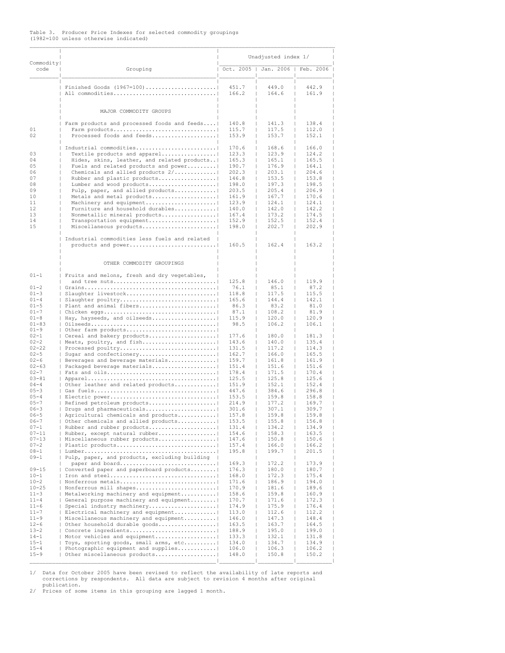# Table 3. Producer Price Indexes for selected commodity groupings (1982=100 unless otherwise indicated)

| Commodity                                                                                      |                                                                                                                                                                                                                                                                                                                                                                                                                                                                                                                                                     | Unadjusted index 1/                                                                                                                           |                                                                                                                                     |                                                                                                                                     |  |  |  |
|------------------------------------------------------------------------------------------------|-----------------------------------------------------------------------------------------------------------------------------------------------------------------------------------------------------------------------------------------------------------------------------------------------------------------------------------------------------------------------------------------------------------------------------------------------------------------------------------------------------------------------------------------------------|-----------------------------------------------------------------------------------------------------------------------------------------------|-------------------------------------------------------------------------------------------------------------------------------------|-------------------------------------------------------------------------------------------------------------------------------------|--|--|--|
| code                                                                                           | Grouping                                                                                                                                                                                                                                                                                                                                                                                                                                                                                                                                            | Oct. 2005<br>$\mathbf{1}$                                                                                                                     |                                                                                                                                     | Jan. 2006   Feb. 2006                                                                                                               |  |  |  |
|                                                                                                | Finished Goods $(1967=100)$<br>All commodities                                                                                                                                                                                                                                                                                                                                                                                                                                                                                                      | 451.7<br>166.2                                                                                                                                | 449.0<br>164.6                                                                                                                      | 442.9<br>161.9                                                                                                                      |  |  |  |
|                                                                                                | MAJOR COMMODITY GROUPS                                                                                                                                                                                                                                                                                                                                                                                                                                                                                                                              |                                                                                                                                               |                                                                                                                                     |                                                                                                                                     |  |  |  |
| 01<br>02                                                                                       | Farm products and processed foods and feeds<br>Farm products<br>Processed foods and feeds                                                                                                                                                                                                                                                                                                                                                                                                                                                           | 140.8<br>115.7<br>153.9                                                                                                                       | 141.3<br>117.5<br>153.7                                                                                                             | 138.4<br>112.0<br>152.1                                                                                                             |  |  |  |
| 03<br>04<br>05<br>06<br>07<br>08<br>09<br>10<br>11<br>12<br>13<br>14<br>15                     | Industrial commodities<br>Textile products and apparel<br>Hides, skins, leather, and related products <br>Fuels and related products and power<br>Chemicals and allied products $2/$<br>Rubber and plastic products <br>Lumber and wood products <br>Pulp, paper, and allied products<br>Metals and metal products <br>Machinery and equipment<br>Furniture and household durables <br>Nonmetallic mineral products <br>Transportation equipment <br>Miscellaneous products <br>Industrial commodities less fuels and related<br>products and power | 170.6<br>123.3<br>165.3<br>ш<br>190.7<br>202.3<br>146.8<br>198.0<br>203.5<br>161.9<br>123.9<br>140.0<br>т<br>167.4<br>152.9<br>198.0<br>160.5 | 168.6<br>123.9<br>165.1<br>176.9<br>203.1<br>153.5<br>197.3<br>205.4<br>167.7<br>124.1<br>142.0<br>173.2<br>152.5<br>202.7<br>162.4 | 166.0<br>124.2<br>165.5<br>164.1<br>204.6<br>153.8<br>198.5<br>206.9<br>170.6<br>124.1<br>142.2<br>174.5<br>152.4<br>202.9<br>163.2 |  |  |  |
|                                                                                                |                                                                                                                                                                                                                                                                                                                                                                                                                                                                                                                                                     |                                                                                                                                               |                                                                                                                                     |                                                                                                                                     |  |  |  |
| $01 - 1$<br>$01 - 2$                                                                           | OTHER COMMODITY GROUPINGS<br>Fruits and melons, fresh and dry vegetables,<br>and tree nuts                                                                                                                                                                                                                                                                                                                                                                                                                                                          | 125.8<br>76.1                                                                                                                                 | 146.0<br>85.1                                                                                                                       | 119.9<br>87.2                                                                                                                       |  |  |  |
| $01 - 3$<br>$01 - 4$<br>$01 - 5$<br>$01 - 7$<br>$01 - 8$<br>$01 - 83$                          | Slaughter livestock<br>  Slaughter poultry<br>  Plant and animal fibers<br>Hay, hayseeds, and oilseeds                                                                                                                                                                                                                                                                                                                                                                                                                                              | 118.8<br>165.6<br>86.3<br>87.1<br>115.9<br>98.5                                                                                               | 117.5<br>144.4<br>83.2<br>108.2<br>120.0<br>106.2                                                                                   | 115.5<br>142.1<br>81.0<br>81.9<br>120.9<br>106.1                                                                                    |  |  |  |
| $01 - 9$<br>$02 - 1$<br>$02 - 2$<br>$02 - 22$<br>$02 - 5$<br>$02 - 6$<br>$02 - 63$<br>$02 - 7$ | Other farm products<br>  Cereal and bakery products <br>  Meats, poultry, and fish<br>  Processed poultry<br>  Sugar and confectionery <br>  Beverages and beverage materials <br>  Packaged beverage materials                                                                                                                                                                                                                                                                                                                                     | 177.6<br>143.6<br>т<br>131.5<br>162.7<br>159.7<br>151.4<br>т<br>178.4                                                                         | 180.0<br>140.0<br>117.2<br>166.0<br>161.8<br>151.6<br>171.5                                                                         | 181.3<br>135.4<br>114.3<br>165.5<br>161.9<br>151.6<br>170.4                                                                         |  |  |  |
| $03 - 81$<br>$04 - 4$<br>$05 - 3$<br>$05 - 4$<br>$05 - 7$<br>$06 - 3$<br>$06 - 5$              | Other leather and related products <br>  Electric power<br>  Refined petroleum products <br>  Drugs and pharmaceuticals <br>Agricultural chemicals and products                                                                                                                                                                                                                                                                                                                                                                                     | 125.5<br>151.9<br>447.6<br>ш<br>153.5<br>214.9<br>301.6<br>157.8                                                                              | 125.8<br>152.1<br>384.6<br>159.8<br>177.2<br>307.1<br>159.8                                                                         | 125.6<br>152.4<br>296.8<br>158.8<br>169.7<br>309.7<br>159.8                                                                         |  |  |  |
| $06 - 7$<br>$07 - 1$<br>$07 - 11$<br>$07 - 13$<br>$07 - 2$<br>$08 - 1$                         | Other chemicals and allied products<br>Rubber and rubber products <br>Rubber, except natural rubber<br>  Miscellaneous rubber products <br>  Plastic products                                                                                                                                                                                                                                                                                                                                                                                       | 153.5<br>131.4<br>154.6<br>147.6<br>157.4<br>195.8                                                                                            | 155.8<br>134.2<br>158.3<br>150.8<br>166.0<br>199.7                                                                                  | 156.8<br>134.9<br>163.5<br>150.6<br>166.2<br>201.5                                                                                  |  |  |  |
| $09 - 1$<br>$09 - 15$<br>$10 - 1$<br>$10 - 2$<br>$10 - 25$                                     | Pulp, paper, and products, excluding building  <br>paper and board<br>  Converted paper and paperboard products <br>Nonferrous metals<br>  Nonferrous mill shapes                                                                                                                                                                                                                                                                                                                                                                                   | 169.3<br>176.3<br>168.0<br>171.6<br>170.9                                                                                                     | 172.2<br>180.0<br>172.3<br>186.9<br>181.6                                                                                           | 173.9<br>180.7<br>175.4<br>194.0<br>189.6                                                                                           |  |  |  |
| $11 - 3$<br>$11 - 4$<br>$11 - 6$<br>$11 - 7$<br>$11 - 9$<br>$12 - 6$                           | Metalworking machinery and equipment <br>  General purpose machinery and equipment <br>Special industry machinery<br>  Electrical machinery and equipment <br>  Miscellaneous machinery and equipment <br>  Other household durable goods                                                                                                                                                                                                                                                                                                           | 158.6<br>170.7<br>174.9<br>113.0<br>146.0<br>163.5                                                                                            | 159.8<br>171.6<br>175.9<br>112.6<br>147.3<br>163.7                                                                                  | 160.9<br>172.3<br>176.4<br>112.2<br>148.4<br>164.5                                                                                  |  |  |  |
| $13 - 2$<br>$14 - 1$<br>$15 - 1$<br>$15 - 4$<br>$15 - 9$                                       | Concrete ingredients<br>  Motor vehicles and equipment <br>  Toys, sporting goods, small arms, etc <br>  Photographic equipment and supplies <br>  Other miscellaneous products                                                                                                                                                                                                                                                                                                                                                                     | 188.9<br>133.3<br>134.0<br>106.0<br>148.0                                                                                                     | 195.0<br>132.1<br>134.7<br>106.3<br>150.8                                                                                           | 199.0<br>131.8<br>134.9<br>106.2<br>150.2                                                                                           |  |  |  |

1/ Data for October 2005 have been revised to reflect the availability of late reports and corrections by respondents. All data are subject to revision 4 months after original

publication. 2/ Prices of some items in this grouping are lagged 1 month.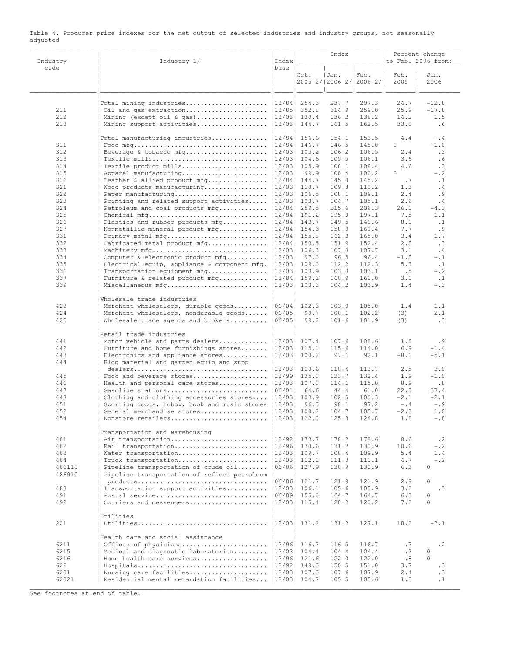| Industry      | Industry 1/                                                                                             | Index |       | Index                                     |                | Percent change<br> to Feb. 2006 from: |                      |  |
|---------------|---------------------------------------------------------------------------------------------------------|-------|-------|-------------------------------------------|----------------|---------------------------------------|----------------------|--|
| code          |                                                                                                         | base  | IOct. | Jan.<br>$ 2005 \t2/ 2006 \t2/ 2006 \t2/ $ | IFeb.          | Feb.<br>2005                          | Jan.<br>2006         |  |
|               | Total mining industries   12/84  254.3                                                                  |       |       | 237.7                                     | 207.3          | 24.7                                  | $-12.8$              |  |
| 211           |                                                                                                         |       |       | 314.9                                     | 259.0          | 25.9                                  | $-17.8$              |  |
| 212           | Mining (except oil & gas)  12/03  130.4                                                                 |       |       | 136.2                                     | 138.2          | 14.2                                  | 1.5                  |  |
| 213           |                                                                                                         |       |       | 161.5                                     | 162.5          | 33.0                                  | .6                   |  |
|               | Total manufacturing industries   12/84  156.6                                                           |       |       | 154.1                                     | 153.5          | 4.4                                   | $-$ .4               |  |
| 311<br>312    | Food mfg  12/84  146.7                                                                                  |       |       | 146.5<br>106.2                            | 145.0<br>106.5 | 0<br>2.4                              | $-1.0$<br>.3         |  |
| 313           |                                                                                                         |       |       | 105.5                                     | 106.1          | 3.6                                   | .6                   |  |
| 314           |                                                                                                         |       |       | 108.1                                     | 108.4          | 4.6                                   | .3                   |  |
| 315           |                                                                                                         |       |       | 100.4                                     | 100.2          | 0                                     | $- 0.2$              |  |
| 316           | Leather & allied product $mfg$   12/84  144.7                                                           |       |       | 145.0                                     | 145.2          | .7                                    | $\cdot$ 1            |  |
| 321           | Wood products manufacturing $ 12/03 $ 110.7                                                             |       |       | 109.8                                     | 110.2          | 1.3                                   | .4                   |  |
| 322           |                                                                                                         |       |       | 108.1                                     | 109.1          | 2.4                                   | .9                   |  |
| 323           | Printing and related support activities  12/03  103.7<br>Petroleum and coal products mfg   12/84  259.5 |       |       | 104.7                                     | 105.1          | 2.6                                   | .4                   |  |
| 324<br>325    |                                                                                                         |       |       | 215.6<br>195.0                            | 206.3<br>197.1 | 26.1<br>7.5                           | $-4.3$<br>1.1        |  |
| 326           | Plastics and rubber products mfg  12/84  143.7                                                          |       |       | 149.5                                     | 149.6          | 8.1                                   | $\cdot$ 1            |  |
| 327           | Nonmetallic mineral product mfg   12/84  154.3                                                          |       |       | 158.9                                     | 160.4          | 7.7                                   | .9                   |  |
| 331           |                                                                                                         |       |       | 162.3                                     | 165.0          | 3.4                                   | 1.7                  |  |
| 332           | Fabricated metal product $mfg$   12/84  150.5                                                           |       |       | 151.9                                     | 152.4          | 2.8                                   | .3                   |  |
| 333           |                                                                                                         |       |       | 107.3                                     | 107.7          | 3.1                                   | .4                   |  |
| 334           | Computer & electronic product mfg  12/03  97.0                                                          |       |       | 96.5                                      | 96.4           | $-1.8$                                | $-$ .1               |  |
| 335           | Electrical equip, appliance & component mfg. $ 12/03 $ 109.0                                            |       |       | 112.2                                     | 112.3          | 5.3                                   | $\cdot$ 1            |  |
| 336           | Transportation equipment $mfg$   12/03  103.9                                                           |       |       | 103.3                                     | 103.1<br>161.0 | .5                                    | $- 0.2$              |  |
| 337<br>339    | Furniture & related product mfg  12/84  159.2                                                           |       |       | 160.9<br>104.2                            | 103.9          | 3.1<br>1.4                            | $\cdot$ 1<br>$- 0.3$ |  |
|               | Wholesale trade industries                                                                              |       |       |                                           |                |                                       |                      |  |
| 423           | Merchant wholesalers, durable goods   06/04  102.3                                                      |       |       | 103.9                                     | 105.0          | 1.4                                   | 1.1                  |  |
| 424           | Merchant wholesalers, nondurable goods   06/05  99.7                                                    |       |       | 100.1                                     | 102.2          | (3)                                   | 2.1                  |  |
| 425           | Wholesale trade agents and brokers   06/05                                                              |       | 99.2  | 101.6                                     | 101.9          | (3)                                   | .3                   |  |
|               | Retail trade industries                                                                                 |       |       |                                           |                |                                       |                      |  |
| 441           | Motor vehicle and parts dealers   12/03  107.4                                                          |       |       | 107.6                                     | 108.6          | 1.8                                   | . 9                  |  |
| 442           | Furniture and home furnishings stores $ 12/03 $ 115.1                                                   |       |       | 115.6                                     | 114.0          | 6.9                                   | $-1.4$               |  |
| 443<br>444    | Electronics and appliance stores $ 12/03 $ 100.2<br>Bldg material and garden equip and supp             |       |       | 97.1                                      | 92.1           | $-8.1$                                | $-5.1$               |  |
|               |                                                                                                         |       |       | 110.4                                     | 113.7          | 2.5                                   | 3.0                  |  |
| 445           | Food and beverage stores $ 12/99 $ 135.0                                                                |       |       | 133.7                                     | 132.4          | 1.9                                   | $-1.0$               |  |
| 446<br>447    | Health and personal care stores  12/03  107.0                                                           |       |       | 114.1                                     | 115.0          | 8.9                                   | .8                   |  |
| 448           | Clothing and clothing accessories stores  12/03  103.9                                                  |       | 64.6  | 44.4<br>102.5                             | 61.0<br>100.3  | 22.5<br>$-2.1$                        | 37.4<br>$-2.1$       |  |
| 451           | Sporting goods, hobby, book and music stores   12/03  96.5                                              |       |       | 98.1                                      | 97.2           | $-$ , 4                               | $-.9$                |  |
| 452           |                                                                                                         |       |       | 104.7                                     | 105.7          | $-2.3$                                | 1.0                  |  |
| 454           |                                                                                                         |       |       | 125.8                                     | 124.8          | 1.8                                   | $-0.8$               |  |
|               | Transportation and warehousing                                                                          |       |       |                                           |                |                                       |                      |  |
| 481           |                                                                                                         |       |       | 178.2                                     | 178.6          | 8.6                                   | $\cdot$ 2            |  |
| 482           | Rail transportation   12/96  130.6                                                                      |       |       | 131.2                                     | 130.9          | 10.6                                  | $-.2$                |  |
| 483<br>484    | Water transportation   12/03  109.7<br>  Truck transportation   12/03  112.1                            |       |       | 108.4<br>111.3                            | 109.9<br>111.1 | 5.4<br>4.7                            | 1.4<br>$-$ .2        |  |
| 486110        | Pipeline transportation of crude oil   06/86  127.9                                                     |       |       | 130.9                                     | 130.9          | 6.3                                   | $\circ$              |  |
| 486910        | Pipeline transportation of refined petroleum                                                            |       |       |                                           |                |                                       |                      |  |
|               |                                                                                                         |       |       | 121.9                                     | 121.9          | 2.9                                   | $\Omega$             |  |
| 488<br>491    | Transportation support activities   12/03  106.1                                                        |       |       | 105.6<br>164.7                            | 105.9<br>164.7 | 3.2<br>6.3                            | .3<br>$\circ$        |  |
| 492           | Couriers and messengers   12/03  115.4                                                                  |       |       | 120.2                                     | 120.2          | 7.2                                   | $\Omega$             |  |
|               | Utilities                                                                                               |       |       |                                           |                |                                       |                      |  |
| 221           |                                                                                                         |       |       | 131.2                                     | 127.1          | 18.2                                  | $-3.1$               |  |
|               | Health care and social assistance                                                                       |       |       |                                           |                |                                       |                      |  |
| 6211          |                                                                                                         |       |       | 116.5                                     | 116.7          | .7                                    | $\cdot$ 2            |  |
| 6215          | Medical and diagnostic laboratories   12/03  104.4                                                      |       |       | 104.4                                     | 104.4          | $\cdot$ 2                             | $\circ$              |  |
| 6216          | Home health care services   12/96  121.6                                                                |       |       | 122.0                                     | 122.0          | .8                                    | $\Omega$             |  |
| 622           |                                                                                                         |       |       | 150.5                                     | 151.0          | 3.7                                   | .3                   |  |
| 6231<br>62321 | Nursing care facilities   12/03  107.5<br>Residential mental retardation facilities  12/03  104.7       |       |       | 107.6<br>105.5                            | 107.9<br>105.6 | 2.4<br>1.8                            | .3<br>$\cdot$ 1      |  |
|               |                                                                                                         |       |       |                                           |                |                                       |                      |  |

#### Table 4. Producer price indexes for the net output of selected industries and industry groups, not seasonally adjusted

See footnotes at end of table.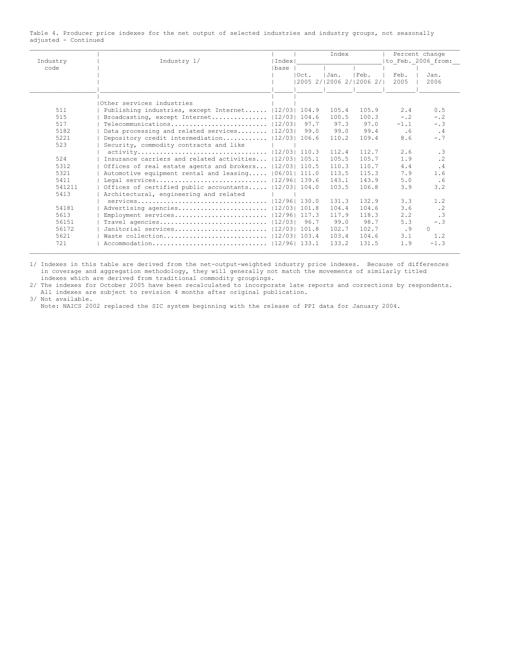Table 4. Producer price indexes for the net output of selected industries and industry groups, not seasonally adjusted - Continued

|          |                                                                                       |       |           | Index                   |                    |        | Percent change  |
|----------|---------------------------------------------------------------------------------------|-------|-----------|-------------------------|--------------------|--------|-----------------|
| Industry | Industry 1/                                                                           |       | I Index I |                         | to Feb. 2006 from: |        |                 |
| code     |                                                                                       | lbase |           |                         |                    |        |                 |
|          |                                                                                       |       | IOct.     | IJan.                   | IFeb.              | Feb.   | Jan.            |
|          |                                                                                       |       |           | 2005 2/ 2006 2/ 2006 2/ |                    | 2005   | 2006            |
|          | Other services industries                                                             |       |           |                         |                    |        |                 |
| 511      | Publishing industries, except Internet  12/03  104.9                                  |       |           | 105.4                   | 105.9              | 2.4    | 0.5             |
| 515      | Broadcasting, except Internet   12/03  104.6                                          |       |           | 100.5                   | 100.3              | $-0.2$ | $- 0.2$         |
| 517      | $Telecommunication s \ldots \ldots \ldots \ldots \ldots \ldots \ldots \qquad  12/03 $ |       | 97.7      | 97.3                    | 97.0               | $-1.1$ | $- 0.3$         |
| 5182     | Data processing and related services $ 12/03 $                                        |       | 99.0      | 99.0                    | 99.4               | .6     | $\cdot$ 4       |
| 5221     | Depository credit intermediation  12/03  106.6                                        |       |           | 110.2                   | 109.4              | 8.6    | $-0.7$          |
| 523      | Security, commodity contracts and like                                                |       |           |                         |                    |        |                 |
|          |                                                                                       |       |           | 112.4                   | 112.7              | 2.6    | .3              |
| 524      | Insurance carriers and related activities 112/031 105.1                               |       |           | 105.5                   | 105.7              | 1.9    | .2 <sub>2</sub> |
| 5312     | Offices of real estate agents and brokers  12/03  110.5                               |       |           | 110.3                   | 110.7              | 4.4    | .4              |
| 5321     | Automotive equipment rental and leasing   06/01  111.0                                |       |           | 113.5                   | 115.3              | 7.9    | 1.6             |
| 5411     |                                                                                       |       |           | 143.1                   | 143.9              | 5.0    | .6              |
| 541211   | Offices of certified public accountants  12/03  104.0                                 |       |           | 103.5                   | 106.8              | 3.9    | 3.2             |
| 5413     | Architectural, engineering and related                                                |       |           |                         |                    |        |                 |
|          |                                                                                       |       |           | 131.3                   | 132.9              | 3.3    | 1.2             |
| 54181    |                                                                                       |       |           | 104.4                   | 104.6              | 3.6    | $\cdot$ 2       |
| 5613     |                                                                                       |       |           | 117.9                   | 118.3              | 2.2    | $\cdot$ 3       |
| 56151    |                                                                                       |       | 96.7      | 99.0                    | 98.7               | 5.3    | $-0.3$          |
| 56172    | Janitorial services   12/03  101.8                                                    |       |           | 102.7                   | 102.7              | .9     | $\bigcap$       |
| 5621     |                                                                                       |       |           | 103.4                   | 104.6              | 3.1    | 1.2             |
| 721      |                                                                                       |       |           | 133.2                   | 131.5              | 1.9    | $-1.3$          |

1/ Indexes in this table are derived from the net-output-weighted industry price indexes. Because of differences in coverage and aggregation methodology, they will generally not match the movements of similarly titled indexes which are derived from traditional commodity groupings.

2/ The indexes for October 2005 have been recalculated to incorporate late reports and corrections by respondents. All indexes are subject to revision 4 months after original publication.

3/ Not available. Note: NAICS 2002 replaced the SIC system beginning with the release of PPI data for January 2004.